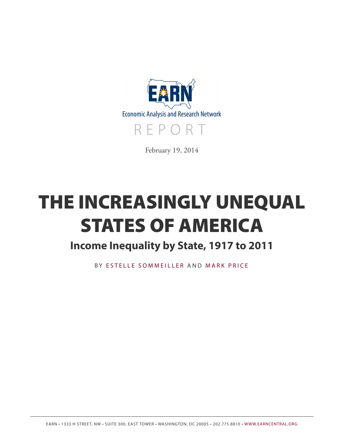

February 19, 2014

# **THE INCREASINGLY UNEQUAL STATES OF AMERICA**

# **Income Inequality by State, 1917 to 2011**

BY [ESTELLE SOMMEILLER](http://www.epi.org/people/estelle-sommeiller/) AND M[ARK PRICE](http://www.epi.org/people/mark-price/)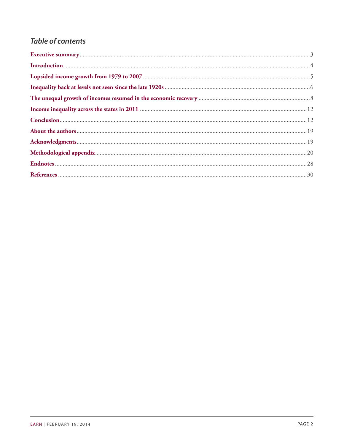### **Table of contents**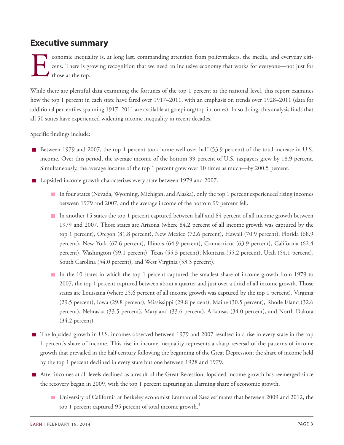### <span id="page-2-0"></span>**Executive summary**

E conomic inequality is, at long last, commanding attention from policymakers, the media, and everyday citizens. There is growing recognition that we need an inclusive economy that works for everyone—not just for those at the top.

While there are plentiful data examining the fortunes of the top 1 percent at the national level, this report examines how the top 1 percent in each state have fared over  $1917–2011$ , with an emphasis on trends over  $1928–2011$  (data for additional percentiles spanning 1917–2011 are available at go.epi.org/top-incomes). In so doing, this analysis finds that all 50 states have experienced widening income inequality in recent decades.

Specific findings include:

- Between 1979 and 2007, the top 1 percent took home well over half (53.9 percent) of the total increase in U.S. income. Over this period, the average income of the bottom 99 percent of U.S. taxpayers grew by 18.9 percent. Simultaneously, the average income of the top 1 percent grew over 10 times as much—by 200.5 percent.
- **Lopsided income growth characterizes every state between 1979 and 2007.** 
	- In four states (Nevada, Wyoming, Michigan, and Alaska), only the top 1 percent experienced rising incomes between 1979 and 2007, and the average income of the bottom 99 percent fell.
	- In another 15 states the top 1 percent captured between half and 84 percent of all income growth between 1979 and 2007. Those states are Arizona (where 84.2 percent of all income growth was captured by the top 1 percent), Oregon (81.8 percent), New Mexico (72.6 percent), Hawaii (70.9 percent), Florida (68.9 percent), New York (67.6 percent), Illinois (64.9 percent), Connecticut (63.9 percent), California (62.4 percent), Washington (59.1 percent), Texas (55.3 percent), Montana (55.2 percent), Utah (54.1 percent), South Carolina (54.0 percent), and West Virginia (53.3 percent).
	- In the 10 states in which the top 1 percent captured the smallest share of income growth from 1979 to 2007, the top 1 percent captured between about a quarter and just over a third of all income growth. Those states are Louisiana (where 25.6 percent of all income growth was captured by the top 1 percent), Virginia (29.5 percent), Iowa (29.8 percent), Mississippi (29.8 percent), Maine (30.5 percent), Rhode Island (32.6 percent), Nebraska (33.5 percent), Maryland (33.6 percent), Arkansas (34.0 percent), and North Dakota (34.2 percent).
- The lopsided growth in U.S. incomes observed between 1979 and 2007 resulted in a rise in every state in the top 1 percent's share of income. This rise in income inequality represents a sharp reversal of the patterns of income growth that prevailed in the half century following the beginning of the Great Depression; the share of income held by the top 1 percent declined in every state but one between 1928 and 1979.
- <span id="page-2-1"></span>After incomes at all levels declined as a result of the Great Recession, lopsided income growth has reemerged since the recovery began in 2009, with the top 1 percent capturing an alarming share of economic growth.
	- University of California at Berkeley economist Emmanuel Saez estimates that between 2009 and 2012, the top [1](#page-27-1) percent captured 95 percent of total income growth.<sup>1</sup>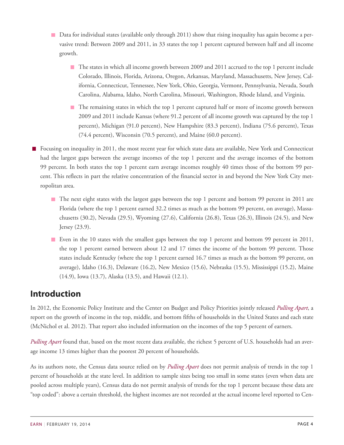- Data for individual states (available only through 2011) show that rising inequality has again become a pervasive trend: Between 2009 and 2011, in 33 states the top 1 percent captured between half and all income growth.
	- The states in which all income growth between 2009 and 2011 accrued to the top 1 percent include Colorado, Illinois, Florida, Arizona, Oregon, Arkansas, Maryland, Massachusetts, New Jersey, California, Connecticut, Tennessee, New York, Ohio, Georgia, Vermont, Pennsylvania, Nevada, South Carolina, Alabama, Idaho, North Carolina, Missouri, Washington, Rhode Island, and Virginia.
	- The remaining states in which the top 1 percent captured half or more of income growth between 2009 and 2011 include Kansas (where 91.2 percent of all income growth was captured by the top 1 percent), Michigan (91.0 percent), New Hampshire (83.3 percent), Indiana (75.6 percent), Texas (74.4 percent), Wisconsin (70.5 percent), and Maine (60.0 percent).

Focusing on inequality in 2011, the most recent year for which state data are available, New York and Connecticut had the largest gaps between the average incomes of the top 1 percent and the average incomes of the bottom 99 percent. In both states the top 1 percent earn average incomes roughly 40 times those of the bottom 99 percent. This reflects in part the relative concentration of the financial sector in and beyond the New York City metropolitan area.

- The next eight states with the largest gaps between the top 1 percent and bottom 99 percent in 2011 are Florida (where the top 1 percent earned 32.2 times as much as the bottom 99 percent, on average), Massachusetts (30.2), Nevada (29.5), Wyoming (27.6), California (26.8), Texas (26.3), Illinois (24.5), and New Jersey (23.9).
- Even in the 10 states with the smallest gaps between the top 1 percent and bottom 99 percent in 2011, the top 1 percent earned between about 12 and 17 times the income of the bottom 99 percent. Those states include Kentucky (where the top 1 percent earned 16.7 times as much as the bottom 99 percent, on average), Idaho (16.3), Delaware (16.2), New Mexico (15.6), Nebraska (15.5), Mississippi (15.2), Maine (14.9), Iowa (13.7), Alaska (13.5), and Hawaii (12.1).

# <span id="page-3-0"></span>**Introduction**

In 2012, the Economic Policy Institute and the Center on Budget and Policy Priorities jointly released *[Pulling](http://www.epi.org/publication/pulling-apart-2012/) Apart*, a report on the growth of income in the top, middle, and bottom fifths of households in the United States and each state (McNichol et al. 2012). That report also included information on the incomes of the top 5 percent of earners.

*[Pulling](http://www.epi.org/publication/pulling-apart-2012/) Apart* found that, based on the most recent data available, the richest 5 percent of U.S. households had an average income 13 times higher than the poorest 20 percent of households.

As its authors note, the Census data source relied on by *[Pulling](http://www.epi.org/publication/pulling-apart-2012/) Apart* does not permit analysis of trends in the top 1 percent of households at the state level. In addition to sample sizes being too small in some states (even when data are pooled across multiple years), Census data do not permit analysis of trends for the top 1 percent because these data are "top coded": above a certain threshold, the highest incomes are not recorded at the actual income level reported to Cen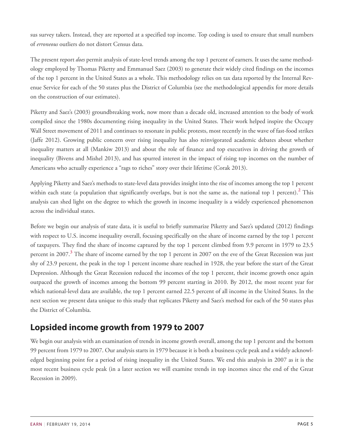sus survey takers. Instead, they are reported at a specified top income. Top coding is used to ensure that small numbers of *erroneous* outliers do not distort Census data.

The present report *does* permit analysis of state-level trends among the top 1 percent of earners. It uses the same methodology employed by Thomas Piketty and Emmanuel Saez (2003) to generate their widely cited findings on the incomes of the top 1 percent in the United States as a whole. This methodology relies on tax data reported by the Internal Revenue Service for each of the 50 states plus the District of Columbia (see the methodological appendix for more details on the construction of our estimates).

Piketty and Saez's (2003) groundbreaking work, now more than a decade old, increased attention to the body of work compiled since the 1980s documenting rising inequality in the United States. Their work helped inspire the Occupy Wall Street movement of 2011 and continues to resonate in public protests, most recently in the wave of fast-food strikes (Jaffe 2012). Growing public concern over rising inequality has also reinvigorated academic debates about whether inequality matters at all (Mankiw 2013) and about the role of finance and top executives in driving the growth of inequality (Bivens and Mishel 2013), and has spurred interest in the impact of rising top incomes on the number of Americans who actually experience a "rags to riches" story over their lifetime (Corak 2013).

<span id="page-4-1"></span>Applying Piketty and Saez's methods to state-level data provides insight into the rise of incomes among the top 1 percent within each state (a population that significantly overlaps, but is not the same as, the national top 1 percent).<sup>[2](#page-27-2)</sup> This analysis can shed light on the degree to which the growth in income inequality is a widely experienced phenomenon across the individual states.

<span id="page-4-2"></span>Before we begin our analysis of state data, it is useful to briefly summarize Piketty and Saez's updated (2012) findings with respect to U.S. income inequality overall, focusing specifically on the share of income earned by the top 1 percent of taxpayers. They find the share of income captured by the top 1 percent climbed from 9.9 percent in 1979 to 23.5 percent in 2007.**[3](#page-27-3)** The share of income earned by the top 1 percent in 2007 on the eve of the Great Recession was just shy of 23.9 percent, the peak in the top 1 percent income share reached in 1928, the year before the start of the Great Depression. Although the Great Recession reduced the incomes of the top 1 percent, their income growth once again outpaced the growth of incomes among the bottom 99 percent starting in 2010. By 2012, the most recent year for which national-level data are available, the top 1 percent earned 22.5 percent of all income in the United States. In the next section we present data unique to this study that replicates Piketty and Saez's method for each of the 50 states plus the District of Columbia.

# <span id="page-4-0"></span>**Lopsided income growth from 1979 to 2007**

We begin our analysis with an examination of trends in income growth overall, among the top 1 percent and the bottom 99 percent from 1979 to 2007. Our analysis starts in 1979 because it is both a business cycle peak and a widely acknowledged beginning point for a period of rising inequality in the United States. We end this analysis in 2007 as it is the most recent business cycle peak (in a later section we will examine trends in top incomes since the end of the Great Recession in 2009).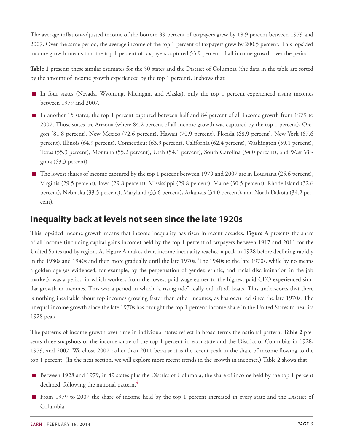The average inflation-adjusted income of the bottom 99 percent of taxpayers grew by 18.9 percent between 1979 and 2007. Over the same period, the average income of the top 1 percent of taxpayers grew by 200.5 percent. This lopsided income growth means that the top 1 percent of taxpayers captured 53.9 percent of all income growth over the period.

**Table 1** presents these similar estimates for the 50 states and the District of Columbia (the data in the table are sorted by the amount of income growth experienced by the top 1 percent). It shows that:

- In four states (Nevada, Wyoming, Michigan, and Alaska), only the top 1 percent experienced rising incomes between 1979 and 2007.
- In another 15 states, the top 1 percent captured between half and 84 percent of all income growth from 1979 to 2007. Those states are Arizona (where 84.2 percent of all income growth was captured by the top 1 percent), Oregon (81.8 percent), New Mexico (72.6 percent), Hawaii (70.9 percent), Florida (68.9 percent), New York (67.6 percent), Illinois (64.9 percent), Connecticut (63.9 percent), California (62.4 percent), Washington (59.1 percent), Texas (55.3 percent), Montana (55.2 percent), Utah (54.1 percent), South Carolina (54.0 percent), and West Virginia (53.3 percent).
- $\blacksquare$  The lowest shares of income captured by the top 1 percent between 1979 and 2007 are in Louisiana (25.6 percent), Virginia (29.5 percent), Iowa (29.8 percent), Mississippi (29.8 percent), Maine (30.5 percent), Rhode Island (32.6 percent), Nebraska (33.5 percent), Maryland (33.6 percent), Arkansas (34.0 percent), and North Dakota (34.2 percent).

### <span id="page-5-0"></span>**Inequality back at levels not seen since the late 1920s**

This lopsided income growth means that income inequality has risen in recent decades. **Figure A** presents the share of all income (including capital gains income) held by the top 1 percent of taxpayers between 1917 and 2011 for the United States and by region. As Figure A makes clear, income inequality reached a peak in 1928 before declining rapidly in the 1930s and 1940s and then more gradually until the late 1970s. The 1940s to the late 1970s, while by no means a golden age (as evidenced, for example, by the perpetuation of gender, ethnic, and racial discrimination in the job market), was a period in which workers from the lowest-paid wage earner to the highest-paid CEO experienced similar growth in incomes. This was a period in which "a rising tide" really did lift all boats. This underscores that there is nothing inevitable about top incomes growing faster than other incomes, as has occurred since the late 1970s. The unequal income growth since the late 1970s has brought the top 1 percent income share in the United States to near its 1928 peak.

The patterns of income growth over time in individual states reflect in broad terms the national pattern. **Table 2** presents three snapshots of the income share of the top 1 percent in each state and the District of Columbia: in 1928, 1979, and 2007. We chose 2007 rather than 2011 because it is the recent peak in the share of income flowing to the top 1 percent. (In the next section, we will explore more recent trends in the growth in incomes.) Table 2 shows that:

- <span id="page-5-1"></span>Between 1928 and 1979, in 49 states plus the District of Columbia, the share of income held by the top 1 percent declined, following the national pattern.**[4](#page-27-4)**
- **From 1979 to 2007 the share of income held by the top 1 percent increased in every state and the District of** Columbia.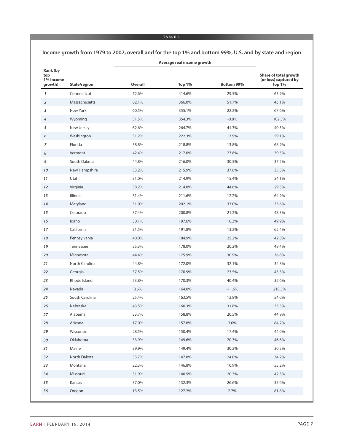#### **TABLE 1**

#### **Income growth from 1979 to 2007, overall and for the top 1% and bottom 99%, U.S. and by state and region**

| Rank (by<br>top<br>1% income<br>growth) | State/region   | Overall | Top 1% | <b>Bottom 99%</b> | Share of total growth<br>(or loss) captured by<br>top $1%$ |
|-----------------------------------------|----------------|---------|--------|-------------------|------------------------------------------------------------|
| $\mathbf{1}$                            | Connecticut    | 72.6%   | 414.6% | 29.5%             | 63.9%                                                      |
| 2                                       | Massachusetts  | 82.1%   | 366.0% | 51.7%             | 43.1%                                                      |
| 3                                       | New York       | 60.5%   | 355.1% | 22.2%             | 67.6%                                                      |
| 4                                       | Wyoming        | 31.5%   | 354.3% | $-0.8%$           | 102.3%                                                     |
| 5                                       | New Jersey     | 62.6%   | 264.7% | 41.3%             | 40.3%                                                      |
| 6                                       | Washington     | 31.2%   | 222.3% | 13.9%             | 59.1%                                                      |
| 7                                       | Florida        | 38.8%   | 218.8% | 13.8%             | 68.9%                                                      |
| 8                                       | Vermont        | 42.4%   | 217.0% | 27.8%             | 39.5%                                                      |
| 9                                       | South Dakota   | 44.8%   | 216.0% | 30.5%             | 37.2%                                                      |
| 10                                      | New Hampshire  | 53.2%   | 215.9% | 37.6%             | 35.5%                                                      |
| 11                                      | Utah           | 31.0%   | 214.9% | 15.4%             | 54.1%                                                      |
| 12                                      | Virginia       | 58.2%   | 214.8% | 44.6%             | 29.5%                                                      |
| 13                                      | Illinois       | 31.4%   | 211.6% | 12.2%             | 64.9%                                                      |
| 14                                      | Maryland       | 51.0%   | 202.1% | 37.0%             | 33.6%                                                      |
| 15                                      | Colorado       | 37.4%   | 200.8% | 21.2%             | 48.3%                                                      |
| 16                                      | Idaho          | 30.1%   | 197.6% | 16.3%             | 49.9%                                                      |
| 17                                      | California     | 31.5%   | 191.8% | 13.2%             | 62.4%                                                      |
| 18                                      | Pennsylvania   | 40.0%   | 184.9% | 25.2%             | 42.8%                                                      |
| 19                                      | Tennessee      | 35.3%   | 178.0% | 20.2%             | 48.4%                                                      |
| 20                                      | Minnesota      | 44.4%   | 175.9% | 30.9%             | 36.8%                                                      |
| 21                                      | North Carolina | 44.8%   | 172.0% | 32.1%             | 34.8%                                                      |
| 22                                      | Georgia        | 37.5%   | 170.9% | 23.5%             | 43.3%                                                      |
| 23                                      | Rhode Island   | 53.8%   | 170.3% | 40.4%             | 32.6%                                                      |
| 24                                      | Nevada         | 8.6%    | 164.0% | $-11.6%$          | 218.5%                                                     |
| 25                                      | South Carolina | 25.4%   | 163.5% | 12.8%             | 54.0%                                                      |
| 26                                      | Nebraska       | 43.5%   | 160.3% | 31.8%             | 33.5%                                                      |
| 27                                      | Alabama        | 33.7%   | 158.8% | 20.5%             | 44.9%                                                      |
| 28                                      | Arizona        | 17.0%   | 157.8% | 3.0%              | 84.2%                                                      |
| 29                                      | Wisconsin      | 28.5%   | 150.4% | 17.4%             | 44.0%                                                      |
| 30                                      | Oklahoma       | 33.9%   | 149.6% | 20.3%             | 46.6%                                                      |
| 31                                      | Maine          | 39.9%   | 149.4% | 30.2%             | 30.5%                                                      |
| 32                                      | North Dakota   | 33.7%   | 147.8% | 24.0%             | 34.2%                                                      |
| 33                                      | Montana        | 22.3%   | 146.8% | 10.9%             | 55.2%                                                      |
| 34                                      | Missouri       | 31.9%   | 140.5% | 20.3%             | 42.5%                                                      |
| 35                                      | Kansas         | 37.0%   | 132.3% | 26.6%             | 35.0%                                                      |
| 36                                      | Oregon         | 13.5%   | 127.2% | 2.7%              | 81.8%                                                      |
|                                         |                |         |        |                   |                                                            |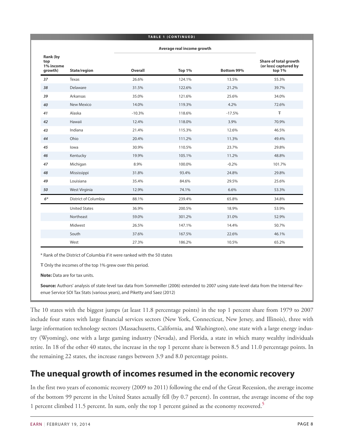|                                         |                             |                            | <b>TABLE 1 (CONTINUED)</b> |            |                                                          |
|-----------------------------------------|-----------------------------|----------------------------|----------------------------|------------|----------------------------------------------------------|
|                                         |                             | Average real income growth |                            |            |                                                          |
| Rank (by<br>top<br>1% income<br>growth) | State/region                | <b>Overall</b>             | Top 1%                     | Bottom 99% | Share of total growth<br>(or loss) captured by<br>top 1% |
| 37                                      | Texas                       | 26.6%                      | 124.1%                     | 13.5%      | 55.3%                                                    |
| 38                                      | Delaware                    | 31.5%                      | 122.6%                     | 21.2%      | 39.7%                                                    |
| 39                                      | Arkansas                    | 35.0%                      | 121.6%                     | 25.6%      | 34.0%                                                    |
| 40                                      | New Mexico                  | 14.0%                      | 119.3%                     | 4.2%       | 72.6%                                                    |
| 41                                      | Alaska                      | $-10.3%$                   | 118.6%                     | $-17.5%$   | Ŧ                                                        |
| 42                                      | Hawaii                      | 12.4%                      | 118.0%                     | 3.9%       | 70.9%                                                    |
| 43                                      | Indiana                     | 21.4%                      | 115.3%                     | 12.6%      | 46.5%                                                    |
| 44                                      | Ohio                        | 20.4%                      | 111.2%                     | 11.3%      | 49.4%                                                    |
| 45                                      | lowa                        | 30.9%                      | 110.5%                     | 23.7%      | 29.8%                                                    |
| 46                                      | Kentucky                    | 19.9%                      | 105.1%                     | 11.2%      | 48.8%                                                    |
| 47                                      | Michigan                    | 8.9%                       | 100.0%                     | $-0.2%$    | 101.7%                                                   |
| 48                                      | Mississippi                 | 31.8%                      | 93.4%                      | 24.8%      | 29.8%                                                    |
| 49                                      | Louisiana                   | 35.4%                      | 84.6%                      | 29.5%      | 25.6%                                                    |
| 50                                      | West Virginia               | 12.9%                      | 74.1%                      | 6.6%       | 53.3%                                                    |
| $6*$                                    | <b>District of Columbia</b> | 88.1%                      | 239.4%                     | 65.8%      | 34.8%                                                    |
|                                         | <b>United States</b>        | 36.9%                      | 200.5%                     | 18.9%      | 53.9%                                                    |
|                                         | Northeast                   | 59.0%                      | 301.2%                     | 31.0%      | 52.9%                                                    |
|                                         | Midwest                     | 26.5%                      | 147.1%                     | 14.4%      | 50.7%                                                    |
|                                         | South                       | 37.6%                      | 167.5%                     | 22.6%      | 46.1%                                                    |
|                                         | West                        | 27.3%                      | 186.2%                     | 10.5%      | 65.2%                                                    |

\* Rank of the District of Columbia if it were ranked with the 50 states

Ŧ Only the incomes of the top 1% grew over this period.

**Note:** Data are for tax units.

**Source:** Authors' analysis of state-level tax data from Sommeiller (2006) extended to 2007 using state-level data from the Internal Revenue Service SOI Tax Stats (various years), and Piketty and Saez (2012)

The 10 states with the biggest jumps (at least 11.8 percentage points) in the top 1 percent share from 1979 to 2007 include four states with large financial services sectors (New York, Connecticut, New Jersey, and Illinois), three with large information technology sectors (Massachusetts, California, and Washington), one state with a large energy industry (Wyoming), one with a large gaming industry (Nevada), and Florida, a state in which many wealthy individuals retire. In 18 of the other 40 states, the increase in the top 1 percent share is between 8.5 and 11.0 percentage points. In the remaining 22 states, the increase ranges between 3.9 and 8.0 percentage points.

### <span id="page-7-0"></span>**The unequal growth of incomes resumed in the economic recovery**

<span id="page-7-1"></span>In the first two years of economic recovery (2009 to 2011) following the end of the Great Recession, the average income of the bottom 99 percent in the United States actually fell (by 0.7 percent). In contrast, the average income of the top 1 percent climbed 11.5 percent. In sum, only the top 1 percent gained as the economy recovered.**[5](#page-27-5)**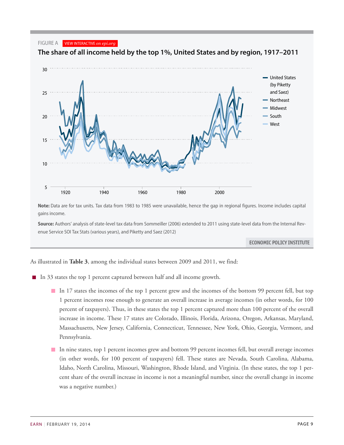#### FIGURE A VIEW INTERACTIVE *on epi.org*



**The share of all income held by the top 1%, United States and by region, 1917–2011**

Note: Data are for tax units. Tax data from 1983 to 1985 were unavailable, hence the gap in regional figures. Income includes capital gains income. *1928* 23.9 26.3 20.6 20.4 18.8

**Source:** Authors' analysis of state-level tax data from Sommeiller (2006) extended to 2011 using state-level data from the Internal Rev-*1929* 22.4 27.4 18.1 17.4 16.1 enue Service SOI Tax Stats (various years), and Piketty and Saez (2012)

ECONOMIC POLICY INSTITUTE

As illustrated in **Table 3**, among the individual states between 2009 and 2011, we find:

In 33 states the top 1 percent captured between half and all income growth.

*1931* 15.5 15.8 13.9 14.9 12.6

*1947* 12.0 12.4 10.9 11.8 10.3

- **In** 17 states the incomes of the top 1 percent grew and the incomes of the bottom 99 percent fell, but top 1 percent incomes rose enough to generate an overall increase in average incomes (in other words, for 100 percent of taxpayers). Thus, in these states the top 1 percent captured more than 100 percent of the overall increase in income. These 17 states are Colorado, Illinois, Florida, Arizona, Oregon, Arkansas, Maryland, Massachusetts, New Jersey, California, Connecticut, Tennessee, New York, Ohio, Georgia, Vermont, and *1939* 16.2 16.0 14.7 16.4 13.0 Pennsylvania. *1940* 16.5 16.1 15.3 16.8 13.1
- In nine states, top 1 percent incomes grew and bottom 99 percent incomes fell, but overall average incomes (in other words, for 100 percent of taxpayers) fell. These states are Nevada, South Carolina, Alabama, Idaho, North Carolina, Missouri, Washington, Rhode Island, and Virginia. (In these states, the top 1 percent share of the overall increase in income is not a meaningful number, since the overall change in income was a negative number.)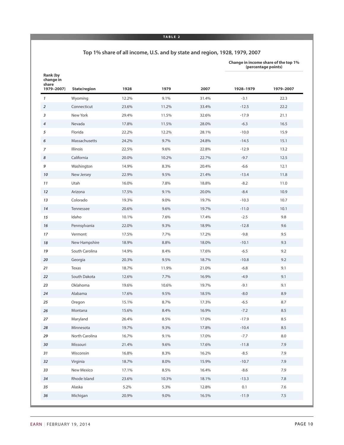#### **TABLE 2**

#### **Top 1% share of all income, U.S. and by state and region, 1928, 1979, 2007**

**Change in income share of the top 1%**

|                                              |                 |       |       |       |           | (percentage points) |
|----------------------------------------------|-----------------|-------|-------|-------|-----------|---------------------|
| Rank (by<br>change in<br>share<br>1979-2007) | State/region    | 1928  | 1979  | 2007  | 1928-1979 | 1979-2007           |
| $\mathbf{1}$                                 | Wyoming         | 12.2% | 9.1%  | 31.4% | $-3.1$    | 22.3                |
| $\overline{2}$                               | Connecticut     | 23.6% | 11.2% | 33.4% | $-12.5$   | 22.2                |
| 3                                            | New York        | 29.4% | 11.5% | 32.6% | $-17.9$   | 21.1                |
| 4                                            | Nevada          | 17.8% | 11.5% | 28.0% | $-6.3$    | 16.5                |
| 5                                            | Florida         | 22.2% | 12.2% | 28.1% | $-10.0$   | 15.9                |
| 6                                            | Massachusetts   | 24.2% | 9.7%  | 24.8% | $-14.5$   | 15.1                |
| $\overline{7}$                               | <b>Illinois</b> | 22.5% | 9.6%  | 22.8% | $-12.9$   | 13.2                |
| 8                                            | California      | 20.0% | 10.2% | 22.7% | $-9.7$    | 12.5                |
| 9                                            | Washington      | 14.9% | 8.3%  | 20.4% | $-6.6$    | 12.1                |
| 10                                           | New Jersey      | 22.9% | 9.5%  | 21.4% | $-13.4$   | 11.8                |
| 11                                           | Utah            | 16.0% | 7.8%  | 18.8% | $-8.2$    | 11.0                |
| 12                                           | Arizona         | 17.5% | 9.1%  | 20.0% | $-8.4$    | 10.9                |
| 13                                           | Colorado        | 19.3% | 9.0%  | 19.7% | $-10.3$   | 10.7                |
| 14                                           | Tennessee       | 20.6% | 9.6%  | 19.7% | $-11.0$   | 10.1                |
| 15                                           | Idaho           | 10.1% | 7.6%  | 17.4% | $-2.5$    | 9.8                 |
| 16                                           | Pennsylvania    | 22.0% | 9.3%  | 18.9% | $-12.8$   | 9.6                 |
| 17                                           | Vermont         | 17.5% | 7.7%  | 17.2% | $-9.8$    | 9.5                 |
| 18                                           | New Hampshire   | 18.9% | 8.8%  | 18.0% | $-10.1$   | 9.3                 |
| 19                                           | South Carolina  | 14.9% | 8.4%  | 17.6% | $-6.5$    | 9.2                 |
| 20                                           | Georgia         | 20.3% | 9.5%  | 18.7% | $-10.8$   | 9.2                 |
| 21                                           | Texas           | 18.7% | 11.9% | 21.0% | $-6.8$    | 9.1                 |
| 22                                           | South Dakota    | 12.6% | 7.7%  | 16.9% | $-4.9$    | 9.1                 |
| 23                                           | Oklahoma        | 19.6% | 10.6% | 19.7% | $-9.1$    | 9.1                 |
| 24                                           | Alabama         | 17.6% | 9.5%  | 18.5% | $-8.0$    | 8.9                 |
| 25                                           | Oregon          | 15.1% | 8.7%  | 17.3% | $-6.5$    | 8.7                 |
| 26                                           | Montana         | 15.6% | 8.4%  | 16.9% | $-7.2$    | 8.5                 |
| 27                                           | Maryland        | 26.4% | 8.5%  | 17.0% | $-17.9$   | 8.5                 |
| 28                                           | Minnesota       | 19.7% | 9.3%  | 17.8% | $-10.4$   | $\!8.5\!$           |
| 29                                           | North Carolina  | 16.7% | 9.1%  | 17.0% | $-7.7$    | 8.0                 |
| 30                                           | Missouri        | 21.4% | 9.6%  | 17.6% | $-11.8$   | 7.9                 |
| 31                                           | Wisconsin       | 16.8% | 8.3%  | 16.2% | $-8.5$    | 7.9                 |
| 32                                           | Virginia        | 18.7% | 8.0%  | 15.9% | $-10.7$   | 7.9                 |
| 33                                           | New Mexico      | 17.1% | 8.5%  | 16.4% | $-8.6$    | 7.9                 |
| 34                                           | Rhode Island    | 23.6% | 10.3% | 18.1% | $-13.3$   | $7.8\,$             |
| 35                                           | Alaska          | 5.2%  | 5.3%  | 12.8% | 0.1       | 7.6                 |
| 36                                           | Michigan        | 20.9% | 9.0%  | 16.5% | $-11.9$   | 7.5                 |
|                                              |                 |       |       |       |           |                     |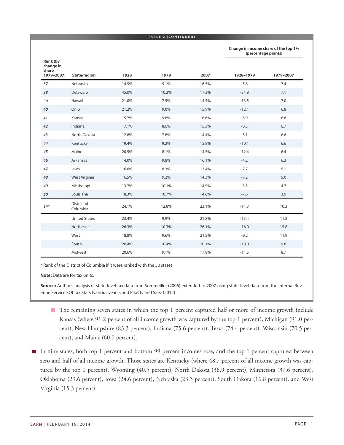#### **TABLE 2 ( C ONTINUED )**

**Change in income share of the top 1% (percentage points)**

| Rank (by<br>change in<br>share |                         |       |       |       |           |           |
|--------------------------------|-------------------------|-------|-------|-------|-----------|-----------|
| 1979-2007)                     | State/region            | 1928  | 1979  | 2007  | 1928-1979 | 1979-2007 |
| 37                             | Nebraska                | 14.9% | 9.1%  | 16.5% | $-5.8$    | 7.4       |
| 38                             | Delaware                | 45.0% | 10.2% | 17.3% | $-34.8$   | 7.1       |
| 39                             | Hawaii                  | 21.0% | 7.5%  | 14.5% | $-13.5$   | 7.0       |
| 40                             | Ohio                    | 21.2% | 9.0%  | 15.9% | $-12.1$   | 6.8       |
| 41                             | Kansas                  | 15.7% | 9.8%  | 16.6% | $-5.9$    | 6.8       |
| 42                             | Indiana                 | 17.1% | 8.6%  | 15.3% | $-8.5$    | 6.7       |
| 43                             | North Dakota            | 12.8% | 7.8%  | 14.4% | $-5.1$    | 6.6       |
| 44                             | Kentucky                | 19.4% | 9.2%  | 15.8% | $-10.1$   | 6.6       |
| 45                             | Maine                   | 20.5% | 8.1%  | 14.5% | $-12.4$   | 6.4       |
| 46                             | Arkansas                | 14.0% | 9.8%  | 16.1% | $-4.2$    | 6.3       |
| 47                             | lowa                    | 16.0% | 8.3%  | 13.4% | $-7.7$    | 5.1       |
| 48                             | West Virginia           | 16.5% | 9.2%  | 14.3% | $-7.2$    | 5.0       |
| 49                             | Mississippi             | 13.7% | 10.1% | 14.9% | $-3.5$    | 4.7       |
| 50                             | Louisiana               | 18.3% | 10.7% | 14.6% | $-7.6$    | 3.9       |
| $14*$                          | District of<br>Columbia | 24.1% | 12.8% | 23.1% | $-11.3$   | 10.3      |
|                                | <b>United States</b>    | 23.4% | 9.9%  | 21.8% | $-13.4$   | 11.8      |
|                                | Northeast               | 26.3% | 10.3% | 26.1% | $-16.0$   | 15.8      |
|                                | West                    | 18.8% | 9.6%  | 21.5% | $-9.2$    | 11.9      |
|                                | South                   | 20.4% | 10.4% | 20.1% | $-10.0$   | 9.8       |
|                                | Midwest                 | 20.6% | 9.1%  | 17.8% | $-11.5$   | 8.7       |

\* Rank of the District of Columbia if it were ranked with the 50 states

**Note:** Data are for tax units.

**Source:** Authors' analysis of state-level tax data from Sommeiller (2006) extended to 2007 using state-level data from the Internal Revenue Service SOI Tax Stats (various years), and Piketty and Saez (2012)

- The remaining seven states in which the top 1 percent captured half or more of income growth include Kansas (where 91.2 percent of all income growth was captured by the top 1 percent), Michigan (91.0 percent), New Hampshire (83.3 percent), Indiana (75.6 percent), Texas (74.4 percent), Wisconsin (70.5 percent), and Maine (60.0 percent).
- In nine states, both top 1 percent and bottom 99 percent incomes rose, and the top 1 percent captured between zero and half of all income growth. Those states are Kentucky (where 48.7 percent of all income growth was captured by the top 1 percent), Wyoming (40.5 percent), North Dakota (38.9 percent), Minnesota (37.6 percent), Oklahoma (29.6 percent), Iowa (24.6 percent), Nebraska (23.3 percent), South Dakota (16.8 percent), and West Virginia (15.3 percent).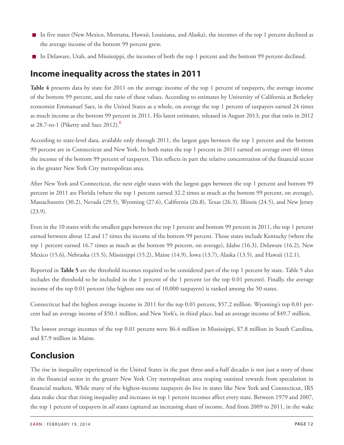- In five states (New Mexico, Montana, Hawaii, Louisiana, and Alaska), the incomes of the top 1 percent declined as the average income of the bottom 99 percent grew.
- In Delaware, Utah, and Mississippi, the incomes of both the top 1 percent and the bottom 99 percent declined.

# <span id="page-11-0"></span>**Income inequality across the states in 2011**

**Table 4** presents data by state for 2011 on the average income of the top 1 percent of taxpayers, the average income of the bottom 99 percent, and the ratio of these values. According to estimates by University of California at Berkeley economist Emmanuel Saez, in the United States as a whole, on average the top 1 percent of taxpayers earned 24 times as much income as the bottom 99 percent in 2011. His latest estimates, released in August 2013, put that ratio in 2012 at 28.7-to-1 (Piketty and Saez 2012).**[6](#page-27-6)**

<span id="page-11-2"></span>According to state-level data, available only through 2011, the largest gaps between the top 1 percent and the bottom 99 percent are in Connecticut and New York. In both states the top 1 percent in 2011 earned on average over 40 times the income of the bottom 99 percent of taxpayers. This reflects in part the relative concentration of the financial sector in the greater New York City metropolitan area.

After New York and Connecticut, the next eight states with the largest gaps between the top 1 percent and bottom 99 percent in 2011 are Florida (where the top 1 percent earned 32.2 times as much as the bottom 99 percent, on average), Massachusetts (30.2), Nevada (29.5), Wyoming (27.6), California (26.8), Texas (26.3), Illinois (24.5), and New Jersey (23.9).

Even in the 10 states with the smallest gaps between the top 1 percent and bottom 99 percent in 2011, the top 1 percent earned between about 12 and 17 times the income of the bottom 99 percent. Those states include Kentucky (where the top 1 percent earned 16.7 times as much as the bottom 99 percent, on average), Idaho (16.3), Delaware (16.2), New Mexico (15.6), Nebraska (15.5), Mississippi (15.2), Maine (14.9), Iowa (13.7), Alaska (13.5), and Hawaii (12.1).

Reported in **Table 5** are the threshold incomes required to be considered part of the top 1 percent by state. Table 5 also includes the threshold to be included in the 1 percent of the 1 percent (or the top 0.01 percent). Finally, the average income of the top 0.01 percent (the highest one out of 10,000 taxpayers) is ranked among the 50 states.

Connecticut had the highest average income in 2011 for the top 0.01 percent, \$57.2 million. Wyoming's top 0.01 percent had an average income of \$50.1 million, and New York's, in third place, had an average income of \$49.7 million.

The lowest average incomes of the top 0.01 percent were \$6.4 million in Mississippi, \$7.8 million in South Carolina, and \$7.9 million in Maine.

# <span id="page-11-1"></span>**Conclusion**

The rise in inequality experienced in the United States in the past three-and-a-half decades is not just a story of those in the financial sector in the greater New York City metropolitan area reaping outsized rewards from speculation in financial markets. While many of the highest-income taxpayers do live in states like New York and Connecticut, IRS data make clear that rising inequality and increases in top 1 percent incomes affect every state. Between 1979 and 2007, the top 1 percent of taxpayers in *all* states captured an increasing share of income. And from 2009 to 2011, in the wake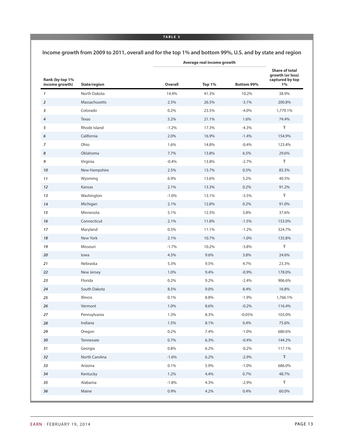#### **TABLE 3**

**Income growth from 2009 to 2011, overall and for the top 1% and bottom 99%, U.S. and by state and region**

| Rank (by top 1%<br>income growth) | State/region   | Overall | <b>Top 1%</b> | Bottom 99% | <b>Share of total</b><br>growth (or loss)<br>captured by top<br>1% |
|-----------------------------------|----------------|---------|---------------|------------|--------------------------------------------------------------------|
| 1                                 | North Dakota   | 14.4%   | 41.3%         | 10.2%      | 38.9%                                                              |
| $\overline{a}$                    | Massachusetts  | 2.5%    | 26.5%         | $-3.1%$    | 200.8%                                                             |
| 3                                 | Colorado       | 0.2%    | 23.5%         | $-4.0%$    | 1,779.1%                                                           |
| 4                                 | Texas          | 5.2%    | 21.1%         | 1.6%       | 74.4%                                                              |
| 5                                 | Rhode Island   | $-1.2%$ | 17.3%         | $-4.3%$    | Ŧ                                                                  |
| 6                                 | California     | 2.0%    | 16.9%         | $-1.4%$    | 154.9%                                                             |
| 7                                 | Ohio           | 1.6%    | 14.8%         | $-0.4%$    | 123.4%                                                             |
| 8                                 | Oklahoma       | 7.7%    | 13.8%         | 6.5%       | 29.6%                                                              |
| 9                                 | Virginia       | $-0.4%$ | 13.8%         | $-2.7%$    | Ŧ                                                                  |
| 10                                | New Hampshire  | 2.5%    | 13.7%         | 0.5%       | 83.3%                                                              |
| 11                                | Wyoming        | 6.9%    | 13.6%         | 5.2%       | 40.5%                                                              |
| 12                                | Kansas         | 2.1%    | 13.3%         | 0.2%       | 91.2%                                                              |
| 13                                | Washington     | $-1.0%$ | 13.1%         | $-3.5%$    | Ŧ                                                                  |
| 14                                | Michigan       | 2.1%    | 12.8%         | 0.2%       | 91.0%                                                              |
| 15                                | Minnesota      | 5.1%    | 12.5%         | 3.8%       | 37.6%                                                              |
| 16                                | Connecticut    | 2.1%    | 11.8%         | $-1.5%$    | 153.0%                                                             |
| 17                                | Maryland       | 0.5%    | 11.1%         | $-1.2%$    | 324.7%                                                             |
| 18                                | New York       | 2.1%    | 10.7%         | $-1.0%$    | 135.8%                                                             |
| 19                                | Missouri       | $-1.7%$ | 10.2%         | $-3.8%$    | Ŧ                                                                  |
| 20                                | lowa           | 4.5%    | 9.6%          | 3.8%       | 24.6%                                                              |
| 21                                | Nebraska       | 5.3%    | 9.5%          | 4.7%       | 23.3%                                                              |
| 22                                | New Jersey     | 1.0%    | 9.4%          | $-0.9%$    | 178.0%                                                             |
| 23                                | Florida        | 0.2%    | 9.2%          | $-2.4%$    | 906.6%                                                             |
| 24                                | South Dakota   | 8.5%    | 9.0%          | 8.4%       | 16.8%                                                              |
| 25                                | Illinois       | 0.1%    | 8.8%          | $-1.9%$    | 1,766.1%                                                           |
| 26                                | Vermont        | 1.0%    | 8.6%          | $-0.2%$    | 116.4%                                                             |
| 27                                | Pennsylvania   | 1.3%    | 8.3%          | $-0.05%$   | 103.0%                                                             |
| 28                                | Indiana        | 1.5%    | 8.1%          | 0.4%       | 75.6%                                                              |
| 29                                | Oregon         | 0.2%    | 7.4%          | $-1.0%$    | 680.6%                                                             |
| 30                                | Tennessee      | 0.7%    | 6.3%          | $-0.4%$    | 144.2%                                                             |
| 31                                | Georgia        | 0.8%    | 6.2%          | $-0.2%$    | 117.1%                                                             |
| 32                                | North Carolina | $-1.6%$ | 6.2%          | $-2.9%$    | $\mp$                                                              |
| 33                                | Arizona        | 0.1%    | 5.9%          | $-1.0%$    | 686.0%                                                             |
| 34                                | Kentucky       | 1.2%    | 4.4%          | 0.7%       | 48.7%                                                              |
| 35                                | Alabama        | $-1.8%$ | 4.3%          | $-2.9%$    | Ŧ                                                                  |
| 36                                | Maine          | 0.9%    | 4.2%          | 0.4%       | 60.0%                                                              |
|                                   |                |         |               |            |                                                                    |

**Average real income growth**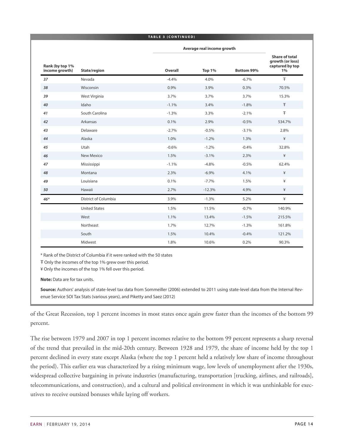#### **TABLE 3 ( C ONTINUED )**

|                                   |                      |         | Average real income growth |            |                                                                    |
|-----------------------------------|----------------------|---------|----------------------------|------------|--------------------------------------------------------------------|
| Rank (by top 1%<br>income growth) | State/region         | Overall | <b>Top 1%</b>              | Bottom 99% | <b>Share of total</b><br>growth (or loss)<br>captured by top<br>1% |
| 37                                | Nevada               | $-4.4%$ | 4.0%                       | $-6.7%$    | Ŧ                                                                  |
| 38                                | Wisconsin            | 0.9%    | 3.9%                       | 0.3%       | 70.5%                                                              |
| 39                                | West Virginia        | 3.7%    | 3.7%                       | 3.7%       | 15.3%                                                              |
| 40                                | Idaho                | $-1.1%$ | 3.4%                       | $-1.8%$    | Ŧ                                                                  |
| 41                                | South Carolina       | $-1.3%$ | 3.3%                       | $-2.1%$    | Ŧ                                                                  |
| 42                                | Arkansas             | 0.1%    | 2.9%                       | $-0.5%$    | 534.7%                                                             |
| 43                                | Delaware             | $-2.7%$ | $-0.5%$                    | $-3.1%$    | 2.8%                                                               |
| 44                                | Alaska               | 1.0%    | $-1.2%$                    | 1.3%       | ¥                                                                  |
| 45                                | Utah                 | $-0.6%$ | $-1.2%$                    | $-0.4%$    | 32.8%                                                              |
| 46                                | New Mexico           | 1.5%    | $-3.1%$                    | 2.3%       | ¥                                                                  |
| 47                                | Mississippi          | $-1.1%$ | $-4.8%$                    | $-0.5%$    | 62.4%                                                              |
| 48                                | Montana              | 2.3%    | $-6.9%$                    | 4.1%       | ¥                                                                  |
| 49                                | Louisiana            | 0.1%    | $-7.7%$                    | 1.5%       | ¥                                                                  |
| 50                                | Hawaii               | 2.7%    | $-12.3%$                   | 4.9%       | ¥                                                                  |
| $46*$                             | District of Columbia | 3.9%    | $-1.3%$                    | 5.2%       | ¥                                                                  |
|                                   | <b>United States</b> | 1.5%    | 11.5%                      | $-0.7%$    | 140.9%                                                             |
|                                   | West                 | 1.1%    | 13.4%                      | $-1.5%$    | 215.5%                                                             |
|                                   | Northeast            | 1.7%    | 12.7%                      | $-1.3%$    | 161.8%                                                             |
|                                   | South                | 1.5%    | 10.4%                      | $-0.4%$    | 121.2%                                                             |
|                                   | Midwest              | 1.8%    | 10.6%                      | 0.2%       | 90.3%                                                              |

\* Rank of the District of Columbia if it were ranked with the 50 states

Ŧ Only the incomes of the top 1% grew over this period.

¥ Only the incomes of the top 1% fell over this period.

**Note:** Data are for tax units.

**Source:** Authors' analysis of state-level tax data from Sommeiller (2006) extended to 2011 using state-level data from the Internal Revenue Service SOI Tax Stats (various years), and Piketty and Saez (2012)

of the Great Recession, top 1 percent incomes in most states once again grew faster than the incomes of the bottom 99 percent.

The rise between 1979 and 2007 in top 1 percent incomes relative to the bottom 99 percent represents a sharp reversal of the trend that prevailed in the mid-20th century. Between 1928 and 1979, the share of income held by the top 1 percent declined in every state except Alaska (where the top 1 percent held a relatively low share of income throughout the period). This earlier era was characterized by a rising minimum wage, low levels of unemployment after the 1930s, widespread collective bargaining in private industries (manufacturing, transportation [trucking, airlines, and railroads], telecommunications, and construction), and a cultural and political environment in which it was unthinkable for executives to receive outsized bonuses while laying off workers.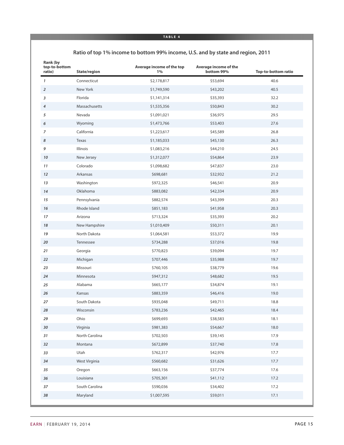#### **TABLE 4**

#### **Ratio of top 1% income to bottom 99% income, U.S. and by state and region, 2011**

| Rank (by<br>top-to-bottom<br>ratio) | State/region   | Average income of the top<br>1% | Average income of the<br>bottom 99% | <b>Top-to-bottom ratio</b> |
|-------------------------------------|----------------|---------------------------------|-------------------------------------|----------------------------|
| $\boldsymbol{\mathcal{I}}$          | Connecticut    | \$2,178,817                     | \$53,694                            | 40.6                       |
| $\overline{2}$                      | New York       | \$1,749,590                     | \$43,202                            | 40.5                       |
| $\overline{\mathbf{3}}$             | Florida        | \$1,141,314                     | \$35,393                            | 32.2                       |
| $\boldsymbol{4}$                    | Massachusetts  | \$1,535,356                     | \$50,843                            | 30.2                       |
| 5                                   | Nevada         | \$1,091,021                     | \$36,975                            | 29.5                       |
| 6                                   | Wyoming        | \$1,473,766                     | \$53,403                            | 27.6                       |
| $\overline{z}$                      | California     | \$1,223,617                     | \$45,589                            | 26.8                       |
| 8                                   | Texas          | \$1,185,033                     | \$45,130                            | 26.3                       |
| 9                                   | Illinois       | \$1,083,216                     | \$44,210                            | 24.5                       |
| 10                                  | New Jersey     | \$1,312,077                     | \$54,864                            | 23.9                       |
| 11                                  | Colorado       | \$1,098,682                     | \$47,837                            | 23.0                       |
| 12                                  | Arkansas       | \$698,681                       | \$32,932                            | 21.2                       |
| 13                                  | Washington     | \$972,325                       | \$46,541                            | 20.9                       |
| 14                                  | Oklahoma       | \$883,082                       | \$42,334                            | 20.9                       |
| 15                                  | Pennsylvania   | \$882,574                       | \$43,399                            | 20.3                       |
| 16                                  | Rhode Island   | \$851,183                       | \$41,958                            | 20.3                       |
| 17                                  | Arizona        | \$713,324                       | \$35,393                            | 20.2                       |
| 18                                  | New Hampshire  | \$1,010,409                     | \$50,311                            | 20.1                       |
| 19                                  | North Dakota   | \$1,064,581                     | \$53,372                            | 19.9                       |
| 20                                  | Tennessee      | \$734,288                       | \$37,016                            | 19.8                       |
| 21                                  | Georgia        | \$770,823                       | \$39,094                            | 19.7                       |
| 22                                  | Michigan       | \$707,446                       | \$35,988                            | 19.7                       |
| 23                                  | Missouri       | \$760,105                       | \$38,779                            | 19.6                       |
| 24                                  | Minnesota      | \$947,312                       | \$48,682                            | 19.5                       |
| 25                                  | Alabama        | \$665,177                       | \$34,874                            | 19.1                       |
| 26                                  | Kansas         | \$883,359                       | \$46,416                            | 19.0                       |
| 27                                  | South Dakota   | \$935,048                       | \$49,711                            | 18.8                       |
| 28                                  | Wisconsin      | \$783,236                       | \$42,465                            | 18.4                       |
| 29                                  | Ohio           | \$699,693                       | \$38,583                            | 18.1                       |
| 30                                  | Virginia       | \$981,383                       | \$54,667                            | 18.0                       |
| 31                                  | North Carolina | \$702,503                       | \$39,145                            | 17.9                       |
| 32                                  | Montana        | \$672,899                       | \$37,740                            | 17.8                       |
| 33                                  | Utah           | \$762,317                       | \$42,976                            | 17.7                       |
| 34                                  | West Virginia  | \$560,682                       | \$31,626                            | 17.7                       |
| 35                                  | Oregon         | \$663,156                       | \$37,774                            | 17.6                       |
| 36                                  | Louisiana      | \$705,301                       | \$41,112                            | 17.2                       |
| 37                                  | South Carolina | \$590,036                       | \$34,402                            | 17.2                       |
| 38                                  | Maryland       | \$1,007,595                     | \$59,011                            | 17.1                       |
|                                     |                |                                 |                                     |                            |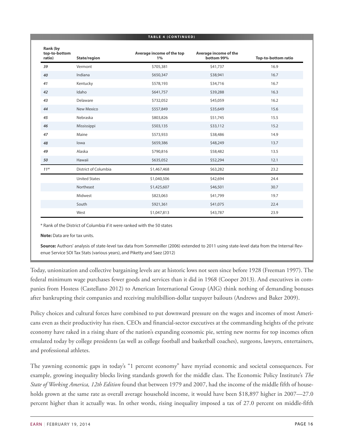| TABLE 4 (CONTINUED)                 |                      |                                 |                                     |                            |
|-------------------------------------|----------------------|---------------------------------|-------------------------------------|----------------------------|
| Rank (by<br>top-to-bottom<br>ratio) | State/region         | Average income of the top<br>1% | Average income of the<br>bottom 99% | <b>Top-to-bottom ratio</b> |
| 39                                  | Vermont              | \$705,381                       | \$41,737                            | 16.9                       |
| 40                                  | Indiana              | \$650,347                       | \$38,941                            | 16.7                       |
| 41                                  | Kentucky             | \$578,193                       | \$34,716                            | 16.7                       |
| 42                                  | Idaho                | \$641,757                       | \$39,288                            | 16.3                       |
| 43                                  | Delaware             | \$732,052                       | \$45,059                            | 16.2                       |
| 44                                  | <b>New Mexico</b>    | \$557,849                       | \$35,649                            | 15.6                       |
| 45                                  | Nebraska             | \$803,826                       | \$51,745                            | 15.5                       |
| 46                                  | Mississippi          | \$503,135                       | \$33,112                            | 15.2                       |
| 47                                  | Maine                | \$573,933                       | \$38,486                            | 14.9                       |
| 48                                  | lowa                 | \$659,386                       | \$48,249                            | 13.7                       |
| 49                                  | Alaska               | \$790,816                       | \$58,482                            | 13.5                       |
| 50                                  | Hawaii               | \$635,052                       | \$52,294                            | 12.1                       |
| $11*$                               | District of Columbia | \$1,467,468                     | \$63,282                            | 23.2                       |
|                                     | <b>United States</b> | \$1,040,506                     | \$42,694                            | 24.4                       |
|                                     | Northeast            | \$1,425,607                     | \$46,501                            | 30.7                       |
|                                     | Midwest              | \$823,063                       | \$41,799                            | 19.7                       |
|                                     | South                | \$921,361                       | \$41,075                            | 22.4                       |
|                                     | West                 | \$1,047,813                     | \$43,787                            | 23.9                       |

\* Rank of the District of Columbia if it were ranked with the 50 states

**Note:** Data are for tax units.

**Source:** Authors' analysis of state-level tax data from Sommeiller (2006) extended to 2011 using state-level data from the Internal Revenue Service SOI Tax Stats (various years), and Piketty and Saez (2012)

Today, unionization and collective bargaining levels are at historic lows not seen since before 1928 (Freeman 1997). The federal minimum wage purchases fewer goods and services than it did in 1968 (Cooper 2013). And executives in companies from Hostess (Castellano 2012) to American International Group (AIG) think nothing of demanding bonuses after bankrupting their companies and receiving multibillion-dollar taxpayer bailouts (Andrews and Baker 2009).

Policy choices and cultural forces have combined to put downward pressure on the wages and incomes of most Americans even as their productivity has risen. CEOs and financial-sector executives at the commanding heights of the private economy have raked in a rising share of the nation's expanding economic pie, setting new norms for top incomes often emulated today by college presidents (as well as college football and basketball coaches), surgeons, lawyers, entertainers, and professional athletes.

The yawning economic gaps in today's "1 percent economy" have myriad economic and societal consequences. For example, growing inequality blocks living standards growth for the middle class. The Economic Policy Institute's *The State of Working America, 12th Edition* found that between 1979 and 2007, had the income of the middle fifth of households grown at the same rate as overall average household income, it would have been \$18,897 higher in 2007—27.0 percent higher than it actually was. In other words, rising inequality imposed a tax of 27.0 percent on middle-fifth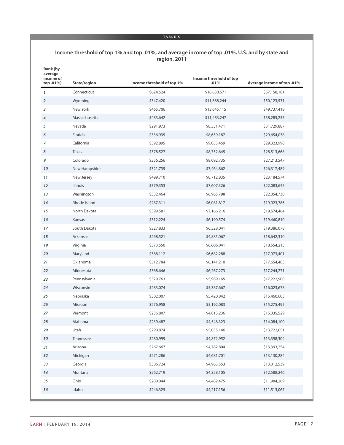#### **TABLE 5**

#### **Income threshold of top 1% and top .01%, and average income of top .01%, U.S. and by state and region, 2011**

| Rank (by<br>average<br>income of<br>top .01%) | State/region  | Income threshold of top 1% | Income threshold of top<br>.01% | Average income of top .01% |
|-----------------------------------------------|---------------|----------------------------|---------------------------------|----------------------------|
| 1                                             | Connecticut   | \$624,524                  | \$16,630,571                    | \$57,158,181               |
| $\overline{2}$                                | Wyoming       | \$347,420                  | \$11,688,244                    | \$50,123,531               |
| 3                                             | New York      | \$465,706                  | \$13,645,115                    | \$49,737,418               |
| 4                                             | Massachusetts | \$483,642                  | \$11,483,247                    | \$38,285,255               |
| 5                                             | Nevada        | \$291,973                  | \$8,531,471                     | \$31,729,887               |
| 6                                             | Florida       | \$336,935                  | \$8,659,187                     | \$29,654,038               |
| $\overline{7}$                                | California    | \$392,895                  | \$9,033,459                     | \$29,323,990               |
| 8                                             | Texas         | \$378,527                  | \$8,752,645                     | \$28,513,668               |
| 9                                             | Colorado      | \$356,256                  | \$8,092,735                     | \$27,213,547               |
| 10                                            | New Hampshire | \$321,739                  | \$7,464,862                     | \$26,317,489               |
| 11                                            | New Jersey    | \$499,710                  | \$8,712,835                     | \$23,184,574               |
| 12                                            | Illinois      | \$379,353                  | \$7,607,326                     | \$22,083,645               |
| 13                                            | Washington    | \$332,464                  | \$6,965,798                     | \$22,054,730               |
| 14                                            | Rhode Island  | \$287,311                  | \$6,081,817                     | \$19,923,786               |
| 15                                            | North Dakota  | \$399,581                  | \$7,166,216                     | \$19,574,464               |
| 16                                            | Kansas        | \$312,224                  | \$6,190,574                     | \$19,460,810               |
| 17                                            | South Dakota  | \$327,833                  | \$6,528,041                     | \$19,386,078               |
| 18                                            | Arkansas      | \$268,521                  | \$4,885,067                     | \$18,642,310               |
| 19                                            | Virginia      | \$373,550                  | \$6,606,041                     | \$18,554,215               |
| 20                                            | Maryland      | \$388,112                  | \$6,682,288                     | \$17,973,401               |
| 21                                            | Oklahoma      | \$312,784                  | \$6,141,210                     | \$17,654,483               |
| 22                                            | Minnesota     | \$368,646                  | \$6,267,273                     | \$17,244,271               |
| 23                                            | Pennsylvania  | \$329,763                  | \$5,989,165                     | \$17,222,900               |
| 24                                            | Wisconsin     | \$283,074                  | \$5,387,667                     | \$16,023,678               |
| 25                                            | Nebraska      | \$302,007                  | \$5,420,842                     | \$15,460,603               |
| 26                                            | Missouri      | \$276,958                  | \$5,192,083                     | \$15,275,495               |
| 27                                            | Vermont       | \$256,807                  | \$4,813,236                     | \$15,035,529               |
| 28                                            | Alabama       | \$239,487                  | \$4,548,323                     | \$14,084,100               |
| 29                                            | Utah          | \$290,874                  | \$5,055,146                     | \$13,722,051               |
| 30                                            | Tennessee     | \$280,999                  | \$4,872,952                     | \$13,398,304               |
| 31                                            | Arizona       | \$267,667                  | \$4,782,804                     | \$13,393,254               |
| 32                                            | Michigan      | \$271,286                  | \$4,681,701                     | \$13,130,284               |
| 33                                            | Georgia       | \$306,724                  | \$4,963,553                     | \$13,012,539               |
| 34                                            | Montana       | \$262,719                  | \$4,358,105                     | \$12,588,246               |
| 35                                            | Ohio          | \$280,044                  | \$4,482,475                     | \$11,984,269               |
| 36                                            | Idaho         | \$246,325                  | \$4,217,156                     | \$11,513,067               |
|                                               |               |                            |                                 |                            |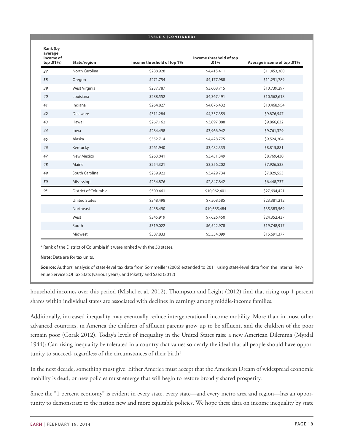|                                               |                      | TABLE 5 (CONTINUED)        |                                 |                            |
|-----------------------------------------------|----------------------|----------------------------|---------------------------------|----------------------------|
| Rank (by<br>average<br>income of<br>top .01%) | State/region         | Income threshold of top 1% | Income threshold of top<br>.01% | Average income of top .01% |
| 37                                            | North Carolina       | \$288,928                  | \$4,415,411                     | \$11,453,380               |
| 38                                            | Oregon               | \$271,754                  | \$4,177,988                     | \$11,291,789               |
| 39                                            | West Virginia        | \$237,787                  | \$3,608,715                     | \$10,739,297               |
| 40                                            | Louisiana            | \$288,552                  | \$4,367,491                     | \$10,562,618               |
| 41                                            | Indiana              | \$264,827                  | \$4,076,432                     | \$10,468,954               |
| 42                                            | Delaware             | \$311,284                  | \$4,357,359                     | \$9,876,547                |
| 43                                            | Hawaii               | \$267,162                  | \$3,897,088                     | \$9,866,632                |
| 44                                            | lowa                 | \$284,498                  | \$3,966,942                     | \$9,761,329                |
| 45                                            | Alaska               | \$352,714                  | \$4,428,775                     | \$9,524,204                |
| 46                                            | Kentucky             | \$261,940                  | \$3,482,335                     | \$8,815,881                |
| 47                                            | New Mexico           | \$263,041                  | \$3,451,349                     | \$8,769,430                |
| 48                                            | Maine                | \$254,321                  | \$3,356,202                     | \$7,926,538                |
| 49                                            | South Carolina       | \$259,922                  | \$3,429,734                     | \$7,829,553                |
| 50                                            | Mississippi          | \$234,876                  | \$2,847,842                     | \$6,448,737                |
| $9*$                                          | District of Columbia | \$509,461                  | \$10,062,401                    | \$27,694,421               |
|                                               | <b>United States</b> | \$348,498                  | \$7,508,585                     | \$23,381,212               |
|                                               | Northeast            | \$438,490                  | \$10,685,484                    | \$35,383,569               |
|                                               | West                 | \$345,919                  | \$7,626,450                     | \$24,352,437               |
|                                               | South                | \$319,022                  | \$6,522,978                     | \$19,748,917               |
|                                               | Midwest              | \$307,833                  | \$5,554,099                     | \$15,691,377               |

\* Rank of the District of Columbia if it were ranked with the 50 states.

**Note:** Data are for tax units.

**Source:** Authors' analysis of state-level tax data from Sommeiller (2006) extended to 2011 using state-level data from the Internal Revenue Service SOI Tax Stats (various years), and Piketty and Saez (2012)

household incomes over this period (Mishel et al. 2012). Thompson and Leight (2012) find that rising top 1 percent shares within individual states are associated with declines in earnings among middle-income families.

Additionally, increased inequality may eventually reduce intergenerational income mobility. More than in most other advanced countries, in America the children of affluent parents grow up to be affluent, and the children of the poor remain poor (Corak 2012). Today's levels of inequality in the United States raise a new American Dilemma (Myrdal 1944): Can rising inequality be tolerated in a country that values so dearly the ideal that all people should have opportunity to succeed, regardless of the circumstances of their birth?

In the next decade, something must give. Either America must accept that the American Dream of widespread economic mobility is dead, or new policies must emerge that will begin to restore broadly shared prosperity.

Since the "1 percent economy" is evident in every state, every state—and every metro area and region—has an opportunity to demonstrate to the nation new and more equitable policies. We hope these data on income inequality by state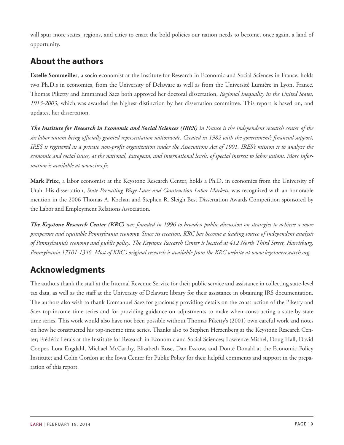will spur more states, regions, and cities to enact the bold policies our nation needs to become, once again, a land of opportunity.

# <span id="page-18-0"></span>**About the authors**

**Estelle Sommeiller**, a socio-economist at the Institute for Research in Economic and Social Sciences in France, holds two Ph.D.s in economics, from the University of Delaware as well as from the Université Lumière in Lyon, France. Thomas Piketty and Emmanuel Saez both approved her doctoral dissertation, *Regional Inequality in the United States, 1913-2003*, which was awarded the highest distinction by her dissertation committee. This report is based on, and updates, her dissertation.

The Institute for Research in Economic and Social Sciences (IRES) in France is the independent research center of the six labor unions being officially granted representation nationwide. Created in 1982 with the government's financial support, IRES is registered as a private non-profit organization under the Associations Act of 1901. IRES's mission is to analyze the economic and social issues, at the national, European, and international levels, of special interest to labor unions. More infor*mation is available at www.ires.fr.*

**Mark Price**, a labor economist at the Keystone Research Center, holds a Ph.D. in economics from the University of Utah. His dissertation, *State Prevailing Wage Laws and Construction Labor Markets*, was recognized with an honorable mention in the 2006 Thomas A. Kochan and Stephen R. Sleigh Best Dissertation Awards Competition sponsored by the Labor and Employment Relations Association.

The Keystone Research Center (KRC) was founded in 1996 to broaden public discussion on strategies to achieve a more prosperous and equitable Pennsylvania economy. Since its creation, KRC has become a leading source of independent analysis of Pennsylvania's economy and public policy. The Keystone Research Center is located at 412 North Third Street, Harrisburg, *Pennsylvania 17101-1346. Most of KRC's original research is available from the KRC website at www.keystoneresearch.org.*

# <span id="page-18-1"></span>**Acknowledgments**

The authors thank the staff at the Internal Revenue Service for their public service and assistance in collecting state-level tax data, as well as the staff at the University of Delaware library for their assistance in obtaining IRS documentation. The authors also wish to thank Emmanuel Saez for graciously providing details on the construction of the Piketty and Saez top-income time series and for providing guidance on adjustments to make when constructing a state-by-state time series. This work would also have not been possible without Thomas Piketty's (2001) own careful work and notes on how he constructed his top-income time series. Thanks also to Stephen Herzenberg at the Keystone Research Center; Frédéric Lerais at the Institute for Research in Economic and Social Sciences; Lawrence Mishel, Doug Hall, David Cooper, Lora Engdahl, Michael McCarthy, Elizabeth Rose, Dan Essrow, and Donté Donald at the Economic Policy Institute; and Colin Gordon at the Iowa Center for Public Policy for their helpful comments and support in the preparation of this report.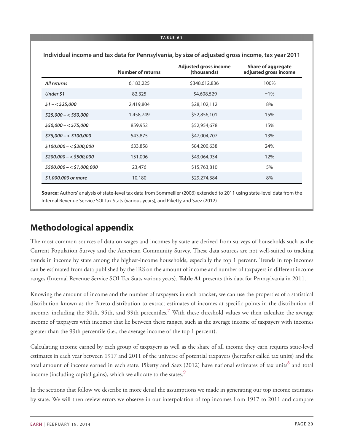|                         | <b>Number of returns</b> | <b>Adjusted gross income</b><br>(thousands) | <b>Share of aggregate</b><br>adjusted gross income |
|-------------------------|--------------------------|---------------------------------------------|----------------------------------------------------|
| All returns             | 6,183,225                | \$348,612,836                               | 100%                                               |
| Under \$1               | 82,325                   | $-54,608,529$                               | $-1\%$                                             |
| $$1 - < $25,000$        | 2,419,804                | \$28,102,112                                | 8%                                                 |
| $$25,000 - $50,000$     | 1,458,749                | \$52,856,101                                | 15%                                                |
| $$50,000 - $575,000$    | 859,952                  | \$52,954,678                                | 15%                                                |
| $$75,000 - $100,000$    | 543,875                  | \$47,004,707                                | 13%                                                |
| $$100,000 - $200,000$   | 633,858                  | \$84,200,638                                | 24%                                                |
| $$200,000 - $500,000$   | 151,006                  | \$43,064,934                                | 12%                                                |
| $$500,000 - $1,000,000$ | 23,476                   | \$15,763,810                                | 5%                                                 |
| \$1,000,000 or more     | 10,180                   | \$29,274,384                                | 8%                                                 |

**Individual income and tax data for Pennsylvania, by size of adjusted gross income, tax year 2011**

**Source:** Authors' analysis of state-level tax data from Sommeiller (2006) extended to 2011 using state-level data from the Internal Revenue Service SOI Tax Stats (various years), and Piketty and Saez (2012)

# <span id="page-19-0"></span>**Methodological appendix**

The most common sources of data on wages and incomes by state are derived from surveys of households such as the Current Population Survey and the American Community Survey. These data sources are not well-suited to tracking trends in income by state among the highest-income households, especially the top 1 percent. Trends in top incomes can be estimated from data published by the IRS on the amount of income and number of taxpayers in different income ranges (Internal Revenue Service SOI Tax Stats various years). **Table A1** presents this data for Pennsylvania in 2011.

<span id="page-19-1"></span>Knowing the amount of income and the number of taxpayers in each bracket, we can use the properties of a statistical distribution known as the Pareto distribution to extract estimates of incomes at specific points in the distribution of income, including the 90th, 95th, and 99th percentiles.**[7](#page-27-7)** With these threshold values we then calculate the average income of taxpayers with incomes that lie between these ranges, such as the average income of taxpayers with incomes greater than the 99th percentile (i.e., the average income of the top 1 percent).

<span id="page-19-2"></span>Calculating income earned by each group of taxpayers as well as the share of all income they earn requires state-level estimates in each year between 1917 and 2011 of the universe of potential taxpayers (hereafter called tax units) and the total amount of income earned in each state. Piketty and Saez (2012) have national estimates of tax units**[8](#page-27-8)** and total income (including capital gains), which we allocate to the states.**[9](#page-27-9)**

<span id="page-19-3"></span>In the sections that follow we describe in more detail the assumptions we made in generating our top income estimates by state. We will then review errors we observe in our interpolation of top incomes from 1917 to 2011 and compare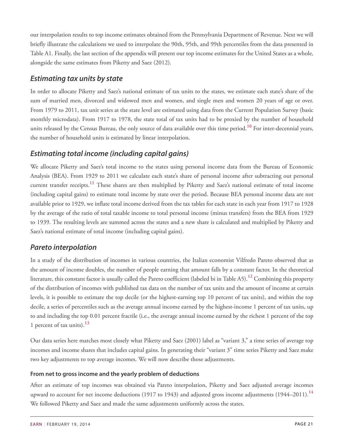our interpolation results to top income estimates obtained from the Pennsylvania Department of Revenue. Next we will briefly illustrate the calculations we used to interpolate the 90th, 95th, and 99th percentiles from the data presented in Table A1. Finally, the last section of the appendix will present our top income estimates for the United States as a whole, alongside the same estimates from Piketty and Saez (2012).

### *Estimating tax units by state*

In order to allocate Piketty and Saez's national estimate of tax units to the states, we estimate each state's share of the sum of married men, divorced and widowed men and women, and single men and women 20 years of age or over. From 1979 to 2011, tax unit series at the state level are estimated using data from the Current Population Survey (basic monthly microdata). From 1917 to 1978, the state total of tax units had to be proxied by the number of household units released by the Census Bureau, the only source of data available over this time period.**[10](#page-27-10)** For inter-decennial years, the number of household units is estimated by linear interpolation.

### <span id="page-20-0"></span>*Estimating total income (including capital gains)*

<span id="page-20-1"></span>We allocate Piketty and Saez's total income to the states using personal income data from the Bureau of Economic Analysis (BEA). From 1929 to 2011 we calculate each state's share of personal income after subtracting out personal current transfer receipts.**[11](#page-27-11)** These shares are then multiplied by Piketty and Saez's national estimate of total income (including capital gains) to estimate total income by state over the period. Because BEA personal income data are not available prior to 1929, we inflate total income derived from the tax tables for each state in each year from 1917 to 1928 by the average of the ratio of total taxable income to total personal income (minus transfers) from the BEA from 1929 to 1939. The resulting levels are summed across the states and a new share is calculated and multiplied by Piketty and Saez's national estimate of total income (including capital gains).

### *Pareto interpolation*

<span id="page-20-2"></span>In a study of the distribution of incomes in various countries, the Italian economist Vilfredo Pareto observed that as the amount of income doubles, the number of people earning that amount falls by a constant factor. In the theoretical literature, this constant factor is usually called the Pareto coefficient (labeled bi in Table A5).**[12](#page-27-12)** Combining this property of the distribution of incomes with published tax data on the number of tax units and the amount of income at certain levels, it is possible to estimate the top decile (or the highest-earning top 10 percent of tax units), and within the top decile, a series of percentiles such as the average annual income earned by the highest-income 1 percent of tax units, up to and including the top 0.01 percent fractile (i.e., the average annual income earned by the richest 1 percent of the top 1 percent of tax units).**[13](#page-27-13)**

<span id="page-20-3"></span>Our data series here matches most closely what Piketty and Saez (2001) label as "variant 3," a time series of average top incomes and income shares that includes capital gains. In generating their "variant 3" time series Piketty and Saez make two key adjustments to top average incomes. We will now describe those adjustments.

### **From net to gross income and the yearly problem of deductions**

<span id="page-20-4"></span>After an estimate of top incomes was obtained via Pareto interpolation, Piketty and Saez adjusted average incomes upward to account for net income deductions (1917 to 1943) and adjusted gross income adjustments (1944–2011).**[14](#page-28-0)** We followed Piketty and Saez and made the same adjustments uniformly across the states.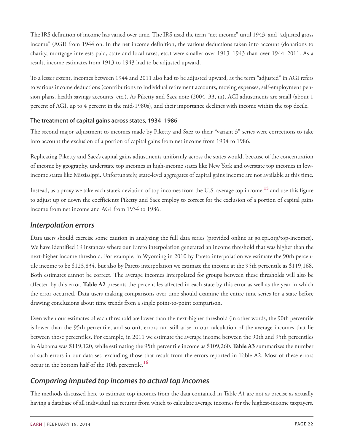The IRS definition of income has varied over time. The IRS used the term "net income" until 1943, and "adjusted gross income" (AGI) from 1944 on. In the net income definition, the various deductions taken into account (donations to charity, mortgage interests paid, state and local taxes, etc.) were smaller over 1913–1943 than over 1944–2011. As a result, income estimates from 1913 to 1943 had to be adjusted upward.

To a lesser extent, incomes between 1944 and 2011 also had to be adjusted upward, as the term "adjusted" in AGI refers to various income deductions (contributions to individual retirement accounts, moving expenses, self-employment pension plans, health savings accounts, etc.). As Piketty and Saez note (2004, 33, iii), AGI adjustments are small (about 1 percent of AGI, up to 4 percent in the mid-1980s), and their importance declines with income within the top decile.

#### **The treatment of capital gains across states, 1934–1986**

The second major adjustment to incomes made by Piketty and Saez to their "variant 3" series were corrections to take into account the exclusion of a portion of capital gains from net income from 1934 to 1986.

Replicating Piketty and Saez's capital gains adjustments uniformly across the states would, because of the concentration of income by geography, understate top incomes in high-income states like New York and overstate top incomes in lowincome states like Mississippi. Unfortunately, state-level aggregates of capital gains income are not available at this time.

<span id="page-21-0"></span>Instead, as a proxy we take each state's deviation of top incomes from the U.S. average top income,**[15](#page-28-1)** and use this figure to adjust up or down the coefficients Piketty and Saez employ to correct for the exclusion of a portion of capital gains income from net income and AGI from 1934 to 1986.

### *Interpolation errors*

Data users should exercise some caution in analyzing the full data series (provided online at go.epi.org/top-incomes). We have identified 19 instances where our Pareto interpolation generated an income threshold that was higher than the next-higher income threshold. For example, in Wyoming in 2010 by Pareto interpolation we estimate the 90th percentile income to be \$123,834, but also by Pareto interpolation we estimate the income at the 95th percentile as \$119,168. Both estimates cannot be correct. The average incomes interpolated for groups between these thresholds will also be affected by this error. **Table A2** presents the percentiles affected in each state by this error as well as the year in which the error occurred. Data users making comparisons over time should examine the entire time series for a state before drawing conclusions about time trends from a single point-to-point comparison.

Even when our estimates of each threshold are lower than the next-higher threshold (in other words, the 90th percentile is lower than the 95th percentile, and so on), errors can still arise in our calculation of the average incomes that lie between those percentiles. For example, in 2011 we estimate the average income between the 90th and 95th percentiles in Alabama was \$119,120, while estimating the 95th percentile income as \$109,260. **Table A3** summarizes the number of such errors in our data set, excluding those that result from the errors reported in Table A2. Most of these errors occur in the bottom half of the 10th percentile.**[16](#page-28-2)**

### <span id="page-21-1"></span>*Comparing imputed top incomes to actual top incomes*

The methods discussed here to estimate top incomes from the data contained in Table A1 are not as precise as actually having a database of all individual tax returns from which to calculate average incomes for the highest-income taxpayers.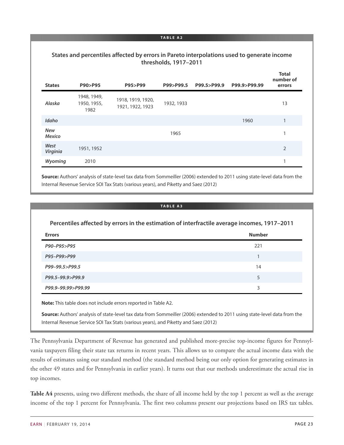#### **States and percentiles affected by errors in Pareto interpolations used to generate income thresholds, 1917–2011**

| <b>States</b>               | P90>P95                            | P95>P99                               | P99>P99.5  | P99.5>P99.9 | P99.9>P99.99 | <b>Total</b><br>number of<br>errors |
|-----------------------------|------------------------------------|---------------------------------------|------------|-------------|--------------|-------------------------------------|
| Alaska                      | 1948, 1949,<br>1950, 1955,<br>1982 | 1918, 1919, 1920,<br>1921, 1922, 1923 | 1932, 1933 |             |              | 13                                  |
| Idaho                       |                                    |                                       |            |             | 1960         | 1                                   |
| <b>New</b><br><b>Mexico</b> |                                    |                                       | 1965       |             |              | 1                                   |
| West<br>Virginia            | 1951, 1952                         |                                       |            |             |              | 2                                   |
| Wyoming                     | 2010                               |                                       |            |             |              | 1                                   |

**Source:** Authors' analysis of state-level tax data from Sommeiller (2006) extended to 2011 using state-level data from the Internal Revenue Service SOI Tax Stats (various years), and Piketty and Saez (2012)

#### **TABLE A3**

| Percentiles affected by errors in the estimation of interfractile average incomes, 1917-2011 |               |  |  |  |  |
|----------------------------------------------------------------------------------------------|---------------|--|--|--|--|
| <b>Errors</b>                                                                                | <b>Number</b> |  |  |  |  |
| P90-P95>P95                                                                                  | 221           |  |  |  |  |
| P95-P99>P99                                                                                  |               |  |  |  |  |
| P99-99.5>P99.5                                                                               | 14            |  |  |  |  |
| P99.5-99.9>P99.9                                                                             | 5             |  |  |  |  |
| P99.9-99.99>P99.99                                                                           | 3             |  |  |  |  |

**Note:** This table does not include errors reported in Table A2.

**Source:** Authors' analysis of state-level tax data from Sommeiller (2006) extended to 2011 using state-level data from the Internal Revenue Service SOI Tax Stats (various years), and Piketty and Saez (2012)

The Pennsylvania Department of Revenue has generated and published more-precise top-income figures for Pennsylvania taxpayers filing their state tax returns in recent years. This allows us to compare the actual income data with the results of estimates using our standard method (the standard method being our only option for generating estimates in the other 49 states and for Pennsylvania in earlier years). It turns out that our methods underestimate the actual rise in top incomes.

**Table A4** presents, using two different methods, the share of all income held by the top 1 percent as well as the average income of the top 1 percent for Pennsylvania. The first two columns present our projections based on IRS tax tables.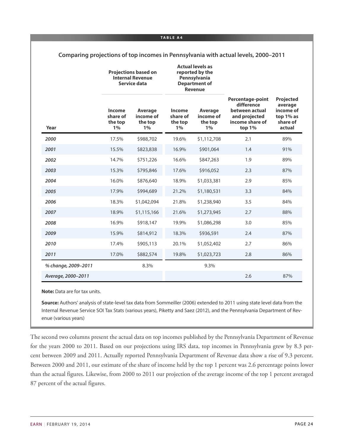|                     |                                        | <b>Projections based on</b><br><b>Internal Revenue</b><br>Service data | <b>Actual levels as</b><br>reported by the<br>Pennsylvania<br><b>Department of</b><br><b>Revenue</b> |                                          |                                                                                                       |                                                                             |
|---------------------|----------------------------------------|------------------------------------------------------------------------|------------------------------------------------------------------------------------------------------|------------------------------------------|-------------------------------------------------------------------------------------------------------|-----------------------------------------------------------------------------|
| Year                | Income<br>share of<br>the top<br>$1\%$ | Average<br>income of<br>the top<br>1%                                  | Income<br>share of<br>the top<br>1%                                                                  | Average<br>income of<br>the top<br>$1\%$ | <b>Percentage-point</b><br>difference<br>between actual<br>and projected<br>income share of<br>top 1% | <b>Projected</b><br>average<br>income of<br>top 1% as<br>share of<br>actual |
| 2000                | 17.5%                                  | \$988,702                                                              | 19.6%                                                                                                | \$1,112,708                              | 2.1                                                                                                   | 89%                                                                         |
| 2001                | 15.5%                                  | \$823,838                                                              | 16.9%                                                                                                | \$901,064                                | 1.4                                                                                                   | 91%                                                                         |
| 2002                | 14.7%                                  | \$751,226                                                              | 16.6%                                                                                                | \$847,263                                | 1.9                                                                                                   | 89%                                                                         |
| 2003                | 15.3%                                  | \$795,846                                                              | 17.6%                                                                                                | \$916,052                                | 2.3                                                                                                   | 87%                                                                         |
| 2004                | 16.0%                                  | \$876,640                                                              | 18.9%                                                                                                | \$1,033,381                              | 2.9                                                                                                   | 85%                                                                         |
| 2005                | 17.9%                                  | \$994,689                                                              | 21.2%                                                                                                | \$1,180,531                              | 3.3                                                                                                   | 84%                                                                         |
| 2006                | 18.3%                                  | \$1,042,094                                                            | 21.8%                                                                                                | \$1,238,940                              | 3.5                                                                                                   | 84%                                                                         |
| 2007                | 18.9%                                  | \$1,115,166                                                            | 21.6%                                                                                                | \$1,273,945                              | 2.7                                                                                                   | 88%                                                                         |
| 2008                | 16.9%                                  | \$918,147                                                              | 19.9%                                                                                                | \$1,086,298                              | 3.0                                                                                                   | 85%                                                                         |
| 2009                | 15.9%                                  | \$814,912                                                              | 18.3%                                                                                                | \$936,591                                | 2.4                                                                                                   | 87%                                                                         |
| 2010                | 17.4%                                  | \$905,113                                                              | 20.1%                                                                                                | \$1,052,402                              | 2.7                                                                                                   | 86%                                                                         |
| 2011                | 17.0%                                  | \$882,574                                                              | 19.8%                                                                                                | \$1,023,723                              | 2.8                                                                                                   | 86%                                                                         |
| % change, 2009-2011 |                                        | 8.3%                                                                   |                                                                                                      | 9.3%                                     |                                                                                                       |                                                                             |
| Average, 2000-2011  |                                        |                                                                        |                                                                                                      |                                          | 2.6                                                                                                   | 87%                                                                         |

**Comparing projections of top incomes in Pennsylvania with actual levels, 2000–2011**

**Note:** Data are for tax units.

**Source:** Authors' analysis of state-level tax data from Sommeiller (2006) extended to 2011 using state level data from the Internal Revenue Service SOI Tax Stats (various years), Piketty and Saez (2012), and the Pennsylvania Department of Revenue (various years)

The second two columns present the actual data on top incomes published by the Pennsylvania Department of Revenue for the years 2000 to 2011. Based on our projections using IRS data, top incomes in Pennsylvania grew by 8.3 percent between 2009 and 2011. Actually reported Pennsylvania Department of Revenue data show a rise of 9.3 percent. Between 2000 and 2011, our estimate of the share of income held by the top 1 percent was 2.6 percentage points lower than the actual figures. Likewise, from 2000 to 2011 our projection of the average income of the top 1 percent averaged 87 percent of the actual figures.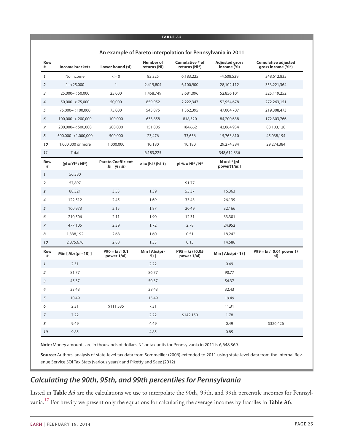|                  | An example of Pareto interpolation for Pennsylvania in 2011 |                                           |                                  |                                    |                                      |                                                  |  |
|------------------|-------------------------------------------------------------|-------------------------------------------|----------------------------------|------------------------------------|--------------------------------------|--------------------------------------------------|--|
| Row<br>#         | <b>Income brackets</b>                                      | Lower bound (si)                          | <b>Number of</b><br>returns (Ni) | Cumulative # of<br>returns (Ni*)   | <b>Adjusted gross</b><br>income (Yi) | <b>Cumulative adjusted</b><br>gross income (Yi*) |  |
| $\mathbf{1}$     | No income                                                   | $\leq$ = 0                                | 82,325                           | 6,183,225                          | $-4,608,529$                         | 348,612,835                                      |  |
| $\overline{2}$   | $1 - 25,000$                                                | $\mathbf{1}$                              | 2,419,804                        | 6,100,900                          | 28,102,112                           | 353,221,364                                      |  |
| 3                | $25,000 - 50,000$                                           | 25,000                                    | 1,458,749                        | 3,681,096                          | 52,856,101                           | 325,119,252                                      |  |
| 4                | $50,000 - 75,000$                                           | 50,000                                    | 859,952                          | 2,222,347                          | 52,954,678                           | 272,263,151                                      |  |
| 5                | 75,000 -< 100,000                                           | 75,000                                    | 543,875                          | 1,362,395                          | 47,004,707                           | 219,308,473                                      |  |
| 6                | 100,000 -< 200,000                                          | 100,000                                   | 633,858                          | 818,520                            | 84,200,638                           | 172,303,766                                      |  |
| $\boldsymbol{7}$ | 200,000 -< 500,000                                          | 200,000                                   | 151,006                          | 184,662                            | 43,064,934                           | 88,103,128                                       |  |
| 8                | 500,000 - < 1,000,000                                       | 500,000                                   | 23,476                           | 33,656                             | 15,763,810                           | 45,038,194                                       |  |
| 10               | 1,000,000 or more                                           | 1,000,000                                 | 10,180                           | 10,180                             | 29,274,384                           | 29,274,384                                       |  |
| 11               | Total                                                       |                                           | 6,183,225                        |                                    | 348,612,836                          |                                                  |  |
| Row<br>#         | $(yi = Yi^* / Ni^*)$                                        | <b>Pareto Coefficient</b><br>$(bi=yi/si)$ | $ai = (bi / (bi-1))$             | $pi\% = Ni* / N*$                  | $ki = si * [pi]$<br>power(1/ai)]     |                                                  |  |
| $\mathbf{1}$     | 56,380                                                      |                                           |                                  |                                    |                                      |                                                  |  |
| $\overline{2}$   | 57,897                                                      |                                           |                                  | 91.77                              |                                      |                                                  |  |
| 3                | 88,321                                                      | 3.53                                      | 1.39                             | 55.37                              | 16,363                               |                                                  |  |
| $\overline{4}$   | 122,512                                                     | 2.45                                      | 1.69                             | 33.43                              | 26,139                               |                                                  |  |
| 5                | 160,973                                                     | 2.15                                      | 1.87                             | 20.49                              | 32,166                               |                                                  |  |
| 6                | 210,506                                                     | 2.11                                      | 1.90                             | 12.31                              | 33,301                               |                                                  |  |
| $\overline{7}$   | 477,105                                                     | 2.39                                      | 1.72                             | 2.78                               | 24,952                               |                                                  |  |
| 8                | 1,338,192                                                   | 2.68                                      | 1.60                             | 0.51                               | 18,242                               |                                                  |  |
| 10               | 2,875,676                                                   | 2.88                                      | 1.53                             | 0.15                               | 14,586                               |                                                  |  |
| <b>Row</b><br>#  | Min [ Abs(pi - 10) ]                                        | $P90 = ki / [0.1]$<br>power 1/ai]         | Min [ Abs(pi -<br>5) ]           | $P95 = ki / [0.05]$<br>power 1/ai] | Min $[Abs(pi-1)]$                    | P99 = ki / [0.01 power 1/<br>ai]                 |  |
| $\mathbf{1}$     | 2.31                                                        |                                           | 2.22                             |                                    | 0.49                                 |                                                  |  |
| $\overline{2}$   | 81.77                                                       |                                           | 86.77                            |                                    | 90.77                                |                                                  |  |
| 3                | 45.37                                                       |                                           | 50.37                            |                                    | 54.37                                |                                                  |  |
| 4                | 23.43                                                       |                                           | 28.43                            |                                    | 32.43                                |                                                  |  |
| 5                | 10.49                                                       |                                           | 15.49                            |                                    | 19.49                                |                                                  |  |
| 6                | 2.31                                                        | \$111,535                                 | 7.31                             |                                    | 11.31                                |                                                  |  |
| $\overline{7}$   | 7.22                                                        |                                           | 2.22                             | \$142,150                          | 1.78                                 |                                                  |  |
| 8                | 9.49                                                        |                                           | 4.49                             |                                    | 0.49                                 | \$326,426                                        |  |
| 10               | 9.85                                                        |                                           | 4.85                             |                                    | 0.85                                 |                                                  |  |

#### **An example of Pareto interpolation for Pennsylvania in 2011**

**Note:** Money amounts are in thousands of dollars. N\* or tax units for Pennsylvania in 2011 is 6,648,369.

**Source:** Authors' analysis of state-level tax data from Sommeiller (2006) extended to 2011 using state-level data from the Internal Revenue Service SOI Tax Stats (various years); and Piketty and Saez (2012)

### *Calculating the 90th, 95th, and 99th percentiles for Pennsylvania*

<span id="page-24-0"></span>Listed in **Table A5** are the calculations we use to interpolate the 90th, 95th, and 99th percentile incomes for Pennsylvania.**[17](#page-28-3)** For brevity we present only the equations for calculating the average incomes by fractiles in **Table A6**.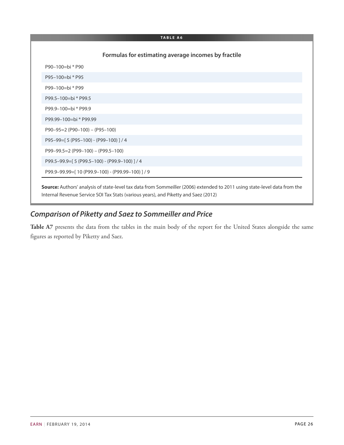|                                                 | Formulas for estimating average incomes by fractile |
|-------------------------------------------------|-----------------------------------------------------|
| P90-100=bi * P90                                |                                                     |
| P95-100=bi * P95                                |                                                     |
| P99-100=bi * P99                                |                                                     |
| P99.5-100=bi * P99.5                            |                                                     |
| P99.9-100=bi * P99.9                            |                                                     |
| P99.99-100=bi * P99.99                          |                                                     |
| $P90-95=2 (P90-100) - (P95-100)$                |                                                     |
| P95-99=[5 (P95-100) - (P99-100) ] / 4           |                                                     |
| $P99-99.5=2$ (P99-100) - (P99.5-100)            |                                                     |
| P99.5-99.9=[5 (P99.5-100) - (P99.9-100)] / 4    |                                                     |
| P99.9-99.99=[10 (P99.9-100) - (P99.99-100)] / 9 |                                                     |

## *Comparison of Piketty and Saez to Sommeiller and Price*

**Table A7** presents the data from the tables in the main body of the report for the United States alongside the same figures as reported by Piketty and Saez.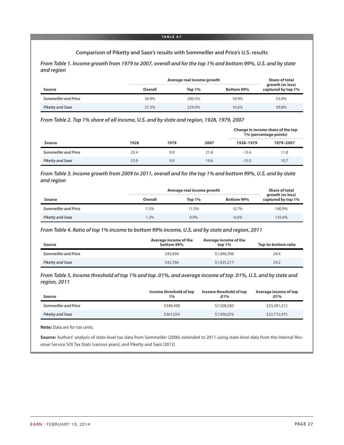#### **Comparison of Piketty and Saez's results with Sommeiller and Price's U.S. results**

*From Table 1. Income growth from 1979 to 2007, overall and for the top 1% and bottom 99%, U.S. and by state and region*

|                         | Average real income growth | <b>Share of total</b> |            |                                        |
|-------------------------|----------------------------|-----------------------|------------|----------------------------------------|
| Source                  | Overall                    | Top $1\%$             | Bottom 99% | growth (or loss)<br>captured by top 1% |
| Sommeiller and Price    | 36.9%                      | 200.5%                | 18.9%      | 53.9%                                  |
| <b>Piketty and Saez</b> | 37.3%                      | 224.0%                | 16.6%      | 59.8%                                  |

*From Table 2. Top 1% share of all income, U.S. and by state and region, 1928, 1979, 2007*

|                         |      |      |      |           | Change in income share of the top<br>1% (percentage points) |
|-------------------------|------|------|------|-----------|-------------------------------------------------------------|
| Source                  | 1928 | 1979 | 2007 | 1928-1979 | 1979-2007                                                   |
| Sommeiller and Price    | 23.4 | 9.9  | 21.8 | $-13.4$   | 11.8                                                        |
| <b>Piketty and Saez</b> | 23.9 | 9.0  | 19.6 | $-15.0$   | 10.7                                                        |

*From Table 3. Income growth from 2009 to 2011, overall and for the top 1% and bottom 99%, U.S. and by state and region*

|                      | Average real income growth | <b>Share of total</b><br>growth (or loss) |            |                    |  |
|----------------------|----------------------------|-------------------------------------------|------------|--------------------|--|
| Source               | Overall                    | Top $1\%$                                 | Bottom 99% | captured by top 1% |  |
| Sommeiller and Price | .5%                        | 11.5%                                     | $-0.7%$    | 140.9%             |  |
| Piketty and Saez     | .3%                        | 9.9%                                      | $-0.6%$    | 135.6%             |  |

*From Table 4. Ratio of top 1% income to bottom 99% income, U.S. and by state and region, 2011*

| Source                  | Average income of the<br>bottom 99% | Average income of the<br>top $1\%$ | Top-to-bottom ratio |
|-------------------------|-------------------------------------|------------------------------------|---------------------|
| Sommeiller and Price    | \$42,694                            | \$1,040,506                        | 24.4                |
| <b>Piketty and Saez</b> | \$42,766                            | \$1,035,217                        | 24.2                |

*From Table 5. Income threshold of top 1% and top .01%, and average income of top .01%, U.S. and by state and region, 2011*

| Source                  | Income threshold of top<br>$1\%$ | Income threshold of top<br>$.01\%$ | Average income of top<br>.01% |
|-------------------------|----------------------------------|------------------------------------|-------------------------------|
| Sommeiller and Price    | \$348,498                        | \$7,508,585                        | \$23,381,212                  |
| <b>Piketty and Saez</b> | \$361,034                        | \$7,956,076                        | \$22,772,975                  |

**Note:** Data are for tax units.

**Source:** Authors' analysis of state-level tax data from Sommeiller (2006) extended to 2011 using state-level data from the Internal Revenue Service SOI Tax Stats (various years), and Piketty and Saez (2012)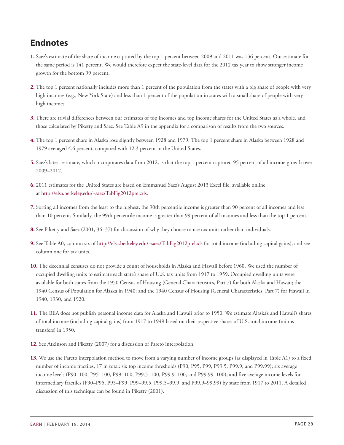# <span id="page-27-0"></span>**Endnotes**

- <span id="page-27-1"></span>**[1.](#page-2-1)** Saez's estimate of the share of income captured by the top 1 percent between 2009 and 2011 was 136 percent. Our estimate for the same period is 141 percent. We would therefore expect the state-level data for the 2012 tax year to show stronger income growth for the bottom 99 percent.
- <span id="page-27-2"></span>**[2.](#page-4-1)** The top 1 percent nationally includes more than 1 percent of the population from the states with a big share of people with very high incomes (e.g., New York State) and less than 1 percent of the population in states with a small share of people with very high incomes.
- <span id="page-27-3"></span>**[3.](#page-4-2)** There are trivial differences between our estimates of top incomes and top income shares for the United States as a whole, and those calculated by Piketty and Saez. See Table A9 in the appendix for a comparison of results from the two sources.
- <span id="page-27-4"></span>**[4.](#page-5-1)** The top 1 percent share in Alaska rose slightly between 1928 and 1979. The top 1 percent share in Alaska between 1928 and 1979 averaged 4.6 percent, compared with 12.3 percent in the United States.
- <span id="page-27-5"></span>**[5.](#page-7-1)** Saez's latest estimate, which incorporates data from 2012, is that the top 1 percent captured 95 percent of all income growth over 2009–2012.
- <span id="page-27-6"></span>**[6.](#page-11-2)** 2011 estimates for the United States are based on Emmanuel Saez's August 2013 Excel file, available online at <http://elsa.berkeley.edu/~saez/TabFig2012prel.xls>.
- <span id="page-27-7"></span>**[7.](#page-19-1)** Sorting all incomes from the least to the highest, the 90th percentile income is greater than 90 percent of all incomes and less than 10 percent. Similarly, the 99th percentile income is greater than 99 percent of all incomes and less than the top 1 percent.
- <span id="page-27-8"></span>**[8.](#page-19-2)** See Piketty and Saez (2001, 36–37) for discussion of why they choose to use tax units rather than individuals.
- <span id="page-27-9"></span>**[9.](#page-19-3)** See Table A0, column six of <http://elsa.berkeley.edu/~saez/TabFig2012prel.xls> for total income (including capital gains), and see column one for tax units.
- <span id="page-27-10"></span>**[10.](#page-20-0)** The decennial censuses do not provide a count of households in Alaska and Hawaii before 1960. We used the number of occupied dwelling units to estimate each state's share of U.S. tax units from 1917 to 1959. Occupied dwelling units were available for both states from the 1950 Census of Housing (General Characteristics, Part 7) for both Alaska and Hawaii; the 1940 Census of Population for Alaska in 1940; and the 1940 Census of Housing (General Characteristics, Part 7) for Hawaii in 1940, 1930, and 1920.
- <span id="page-27-11"></span>**[11.](#page-20-1)** The BEA does not publish personal income data for Alaska and Hawaii prior to 1950. We estimate Alaska's and Hawaii's shares of total income (including capital gains) from 1917 to 1949 based on their respective shares of U.S. total income (minus transfers) in 1950.
- <span id="page-27-12"></span>**[12.](#page-20-2)** See Atkinson and Piketty (2007) for a discussion of Pareto interpolation.
- <span id="page-27-13"></span>**[13.](#page-20-3)** We use the Pareto interpolation method to move from a varying number of income groups (as displayed in Table A1) to a fixed number of income fractiles, 17 in total: six top income thresholds (P90, P95, P99, P99.5, P99.9, and P99.99); six average income levels (P90–100, P95–100, P99–100, P99.5–100, P99.9–100, and P99.99–100); and five average income levels for intermediary fractiles (P90–P95, P95–P99, P99–99.5, P99.5–99.9, and P99.9–99.99) by state from 1917 to 2011. A detailed discussion of this technique can be found in Piketty (2001).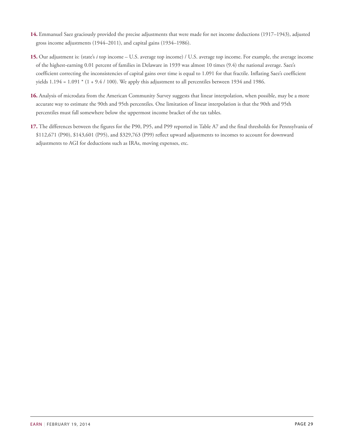- <span id="page-28-0"></span>**[14.](#page-20-4)** Emmanuel Saez graciously provided the precise adjustments that were made for net income deductions (1917–1943), adjusted gross income adjustments (1944–2011), and capital gains (1934–1986).
- <span id="page-28-1"></span>**[15.](#page-21-0)** Our adjustment is: (state's *i* top income – U.S. average top income) / U.S. average top income. For example, the average income of the highest-earning 0.01 percent of families in Delaware in 1939 was almost 10 times (9.4) the national average. Saez's coefficient correcting the inconsistencies of capital gains over time is equal to 1.091 for that fractile. Inflating Saez's coefficient yields  $1.194 = 1.091 * (1 + 9.4 / 100)$ . We apply this adjustment to all percentiles between 1934 and 1986.
- <span id="page-28-2"></span>**[16.](#page-21-1)** Analysis of microdata from the American Community Survey suggests that linear interpolation, when possible, may be a more accurate way to estimate the 90th and 95th percentiles. One limitation of linear interpolation is that the 90th and 95th percentiles must fall somewhere below the uppermost income bracket of the tax tables.
- <span id="page-28-3"></span>**[17.](#page-24-0)** The differences between the figures for the P90, P95, and P99 reported in Table A7 and the final thresholds for Pennsylvania of \$112,671 (P90), \$143,601 (P95), and \$329,763 (P99) reflect upward adjustments to incomes to account for downward adjustments to AGI for deductions such as IRAs, moving expenses, etc.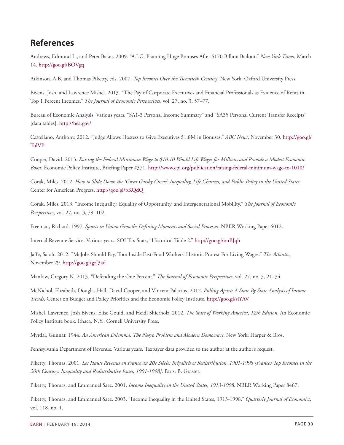## <span id="page-29-0"></span>**References**

Andrews, Edmund L., and Peter Baker. 2009. "A.I.G. Planning Huge Bonuses After \$170 Billion Bailout." *New York Times*, March 14. <http://goo.gl/BOVgq>

Atkinson, A.B, and Thomas Piketty, eds. 2007. *Top Incomes Over the Twentieth Century*. New York: Oxford University Press.

Bivens, Josh, and Lawrence Mishel. 2013. "The Pay of Corporate Executives and Financial Professionals as Evidence of Rents in Top 1 Percent Incomes." *The Journal of Economic Perspectives*, vol. 27, no. 3, 57–77.

Bureau of Economic Analysis. Various years. "SA1-3 Personal Income Summary" and "SA35 Personal Current Transfer Receipts" [data tables]. <http://bea.gov/>

Castellano, Anthony. 2012. "Judge Allows Hostess to Give Executives \$1.8M in Bonuses." *ABC News*, November 30. [http://goo.gl/](http://goo.gl/TulVP) [TulVP](http://goo.gl/TulVP)

Cooper, David. 2013. *Raising the Federal Minimum Wage to \$10.10 Would Lift Wages for Millions and Provide a Modest Economic Boost.* Economic Policy Institute, Briefing Paper #371. <http://www.epi.org/publication/raising-federal-minimum-wage-to-1010/>

Corak, Miles. 2012. *How to Slide Down the 'Great Gatsby Curve': Inequality, Life Chances, and Public Policy in the United States*. Center for American Progress. <http://goo.gl/bKQdQ>

Corak, Miles. 2013. "Income Inequality, Equality of Opportunity, and Intergenerational Mobility." *The Journal of Economic Perspectives*, vol. 27, no. 3, 79–102.

Freeman, Richard. 1997. *Spurts in Union Growth: Defining Moments and Social Processes*. NBER Working Paper 6012.

Internal Revenue Service. Various years. SOI Tax Stats, "Historical Table 2." <http://goo.gl/onBJqh>

Jaffe, Sarah. 2012. "McJobs Should Pay, Too: Inside Fast-Food Workers' Historic Protest For Living Wages." *The Atlantic*, November 29. <http://goo.gl/grJ3ad>

Mankiw, Gregory N. 2013. "Defending the One Percent." *The Journal of Economic Perspectives*, vol. 27, no. 3, 21–34.

McNichol, Elizabeth, Douglas Hall, David Cooper, and Vincent Palacios. 2012. *Pulling Apart: A State By State Analysis of Income Trends*. Center on Budget and Policy Priorities and the Economic Policy Institute. <http://goo.gl/siYAV>

Mishel, Lawrence, Josh Bivens, Elise Gould, and Heidi Shierholz. 2012. *The State of Working America, 12th Edition*. An Economic Policy Institute book. Ithaca, N.Y.: Cornell University Press.

Myrdal, Gunnar. 1944. *An American Dilemma: The Negro Problem and Modern Democracy*. New York: Harper & Bros.

Pennsylvania Department of Revenue. Various years. Taxpayer data provided to the author at the author's request.

Piketty, Thomas. 2001. *Les Hauts Revenus en France au 20e Siècle: Inégalités et Redistribution, 1901-1998 [France's Top Incomes in the 20th Century: Inequality and Redistributive Issues, 1901-1998]*. Paris: B. Grasset.

Piketty, Thomas, and Emmanuel Saez. 2001. *Income Inequality in the United States, 1913-1998*. NBER Working Paper 8467.

Piketty, Thomas, and Emmanuel Saez. 2003. "Income Inequality in the United States, 1913-1998." *Quarterly Journal of Economics*, vol. 118, no. 1.